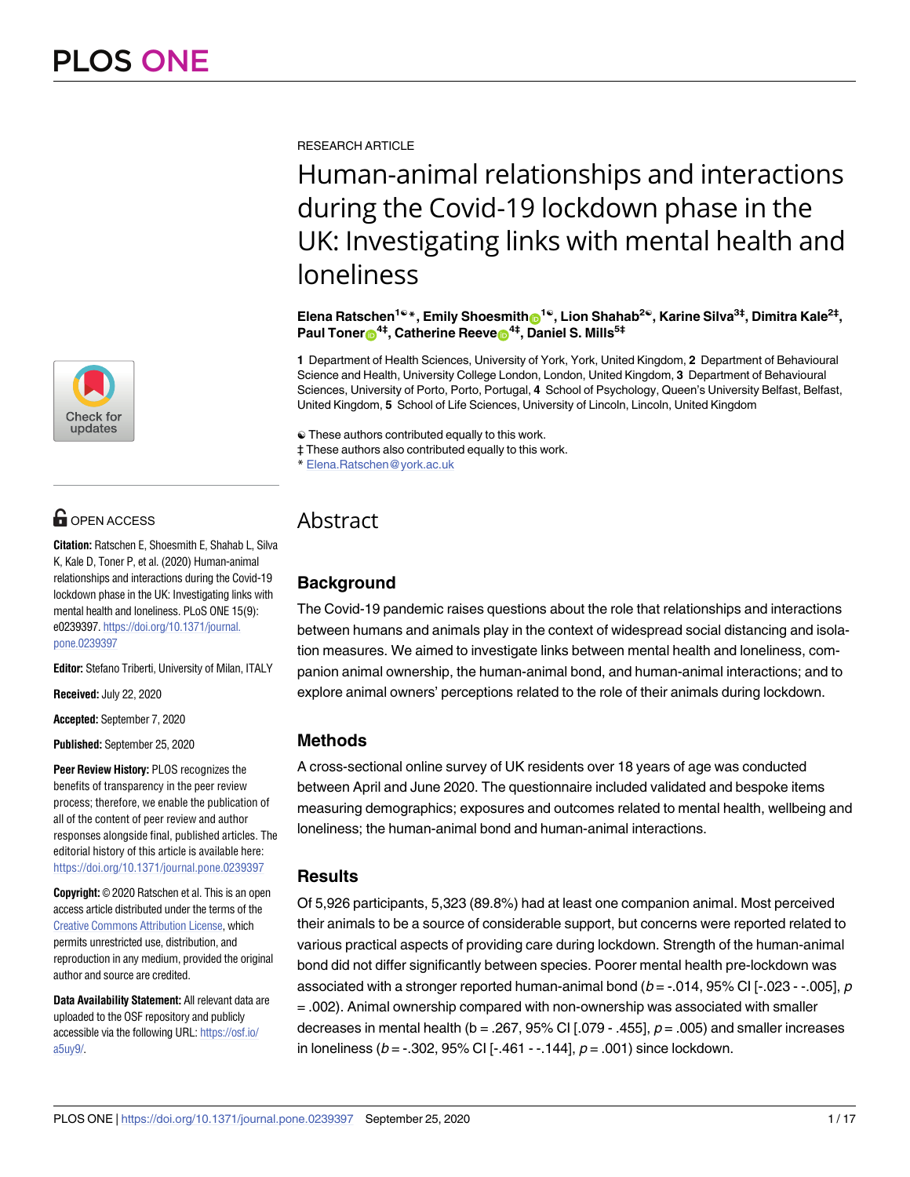

## **OPEN ACCESS**

**Citation:** Ratschen E, Shoesmith E, Shahab L, Silva K, Kale D, Toner P, et al. (2020) Human-animal relationships and interactions during the Covid-19 lockdown phase in the UK: Investigating links with mental health and loneliness. PLoS ONE 15(9): e0239397. [https://doi.org/10.1371/journal.](https://doi.org/10.1371/journal.pone.0239397) [pone.0239397](https://doi.org/10.1371/journal.pone.0239397)

**Editor:** Stefano Triberti, University of Milan, ITALY

**Received:** July 22, 2020

**Accepted:** September 7, 2020

**Published:** September 25, 2020

**Peer Review History:** PLOS recognizes the benefits of transparency in the peer review process; therefore, we enable the publication of all of the content of peer review and author responses alongside final, published articles. The editorial history of this article is available here: <https://doi.org/10.1371/journal.pone.0239397>

**Copyright:** © 2020 Ratschen et al. This is an open access article distributed under the terms of the Creative Commons [Attribution](http://creativecommons.org/licenses/by/4.0/) License, which permits unrestricted use, distribution, and reproduction in any medium, provided the original author and source are credited.

**Data Availability Statement:** All relevant data are uploaded to the OSF repository and publicly accessible via the following URL: [https://osf.io/](https://osf.io/a5uy9/) [a5uy9/](https://osf.io/a5uy9/).

RESEARCH ARTICLE

# Human-animal relationships and interactions during the Covid-19 lockdown phase in the UK: Investigating links with mental health and loneliness

 $E$ lena Ratschen<sup>1©</sup><sup>\*</sup>, Emily Shoesmith<sub>1</sub><sup>0</sup><sup>1©</sup>, Lion Shahab<sup>2©</sup>, Karine Silva<sup>3‡</sup>, Dimitra Kale<sup>2‡</sup>, **Paul Toner**<sup>4‡</sup>, Catherine Reeve<sup><sup>4‡</sup>, Daniel S. Mills<sup>5‡</sup></sup>

**1** Department of Health Sciences, University of York, York, United Kingdom, **2** Department of Behavioural Science and Health, University College London, London, United Kingdom, **3** Department of Behavioural Sciences, University of Porto, Porto, Portugal, **4** School of Psychology, Queen's University Belfast, Belfast, United Kingdom, **5** School of Life Sciences, University of Lincoln, Lincoln, United Kingdom

☯ These authors contributed equally to this work.

‡ These authors also contributed equally to this work.

\* Elena.Ratschen@york.ac.uk

## Abstract

## **Background**

The Covid-19 pandemic raises questions about the role that relationships and interactions between humans and animals play in the context of widespread social distancing and isolation measures. We aimed to investigate links between mental health and loneliness, companion animal ownership, the human-animal bond, and human-animal interactions; and to explore animal owners' perceptions related to the role of their animals during lockdown.

#### **Methods**

A cross-sectional online survey of UK residents over 18 years of age was conducted between April and June 2020. The questionnaire included validated and bespoke items measuring demographics; exposures and outcomes related to mental health, wellbeing and loneliness; the human-animal bond and human-animal interactions.

#### **Results**

Of 5,926 participants, 5,323 (89.8%) had at least one companion animal. Most perceived their animals to be a source of considerable support, but concerns were reported related to various practical aspects of providing care during lockdown. Strength of the human-animal bond did not differ significantly between species. Poorer mental health pre-lockdown was associated with a stronger reported human-animal bond ( $b = -0.014$ , 95% CI [ $-0.023 - 0.005$ ], p = .002). Animal ownership compared with non-ownership was associated with smaller decreases in mental health (b = .267, 95% CI [.079 - .455],  $p = .005$ ) and smaller increases in loneliness ( $b = -0.302$ , 95% CI [ $-0.461 - 0.144$ ],  $p = 0.001$ ) since lockdown.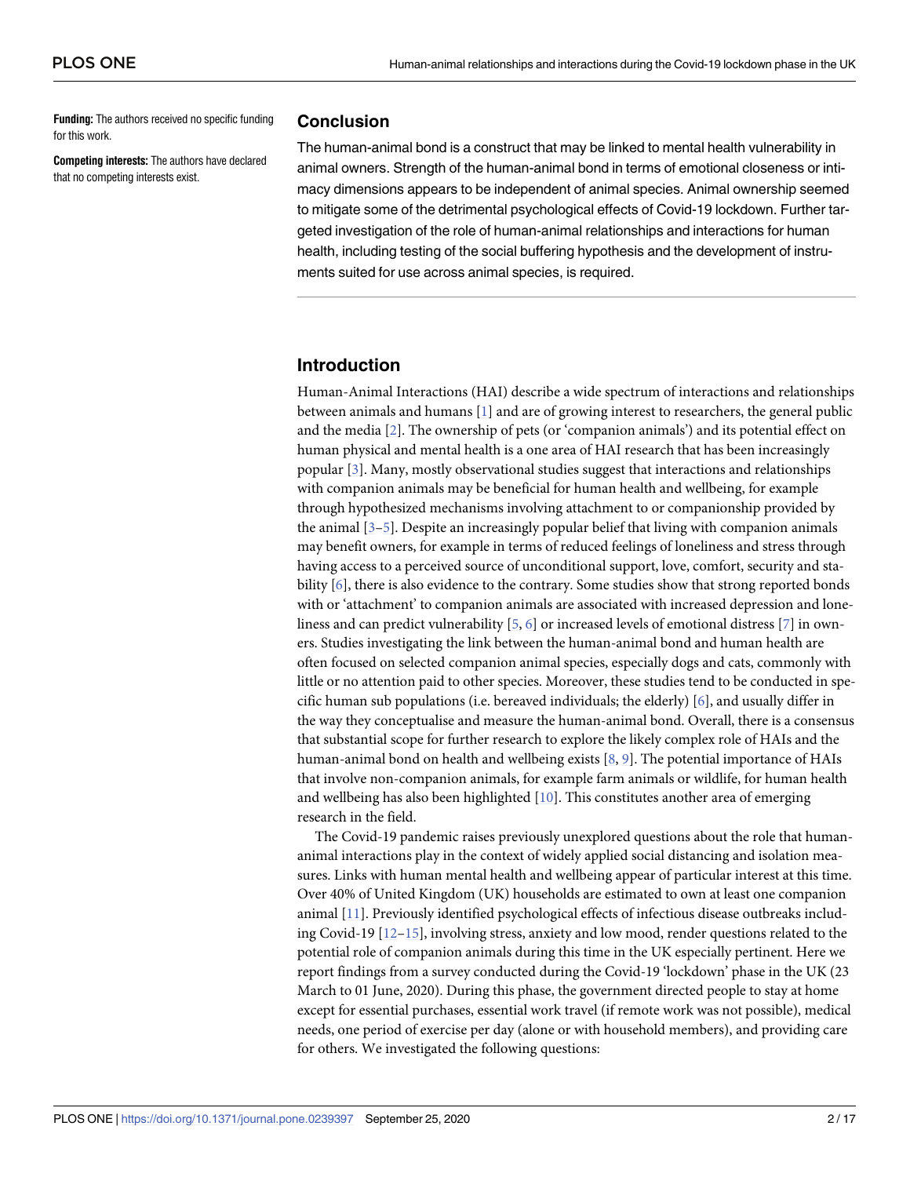<span id="page-1-0"></span>**Funding:** The authors received no specific funding for this work.

**Competing interests:** The authors have declared that no competing interests exist.

#### **Conclusion**

The human-animal bond is a construct that may be linked to mental health vulnerability in animal owners. Strength of the human-animal bond in terms of emotional closeness or intimacy dimensions appears to be independent of animal species. Animal ownership seemed to mitigate some of the detrimental psychological effects of Covid-19 lockdown. Further targeted investigation of the role of human-animal relationships and interactions for human health, including testing of the social buffering hypothesis and the development of instruments suited for use across animal species, is required.

#### **Introduction**

Human-Animal Interactions (HAI) describe a wide spectrum of interactions and relationships between animals and humans [[1](#page-14-0)] and are of growing interest to researchers, the general public and the media [\[2](#page-14-0)]. The ownership of pets (or 'companion animals') and its potential effect on human physical and mental health is a one area of HAI research that has been increasingly popular [[3\]](#page-14-0). Many, mostly observational studies suggest that interactions and relationships with companion animals may be beneficial for human health and wellbeing, for example through hypothesized mechanisms involving attachment to or companionship provided by the animal  $[3-5]$ . Despite an increasingly popular belief that living with companion animals may benefit owners, for example in terms of reduced feelings of loneliness and stress through having access to a perceived source of unconditional support, love, comfort, security and sta-bility [\[6\]](#page-14-0), there is also evidence to the contrary. Some studies show that strong reported bonds with or 'attachment' to companion animals are associated with increased depression and loneliness and can predict vulnerability [\[5](#page-14-0), [6](#page-14-0)] or increased levels of emotional distress [[7\]](#page-14-0) in owners. Studies investigating the link between the human-animal bond and human health are often focused on selected companion animal species, especially dogs and cats, commonly with little or no attention paid to other species. Moreover, these studies tend to be conducted in specific human sub populations (i.e. bereaved individuals; the elderly) [[6](#page-14-0)], and usually differ in the way they conceptualise and measure the human-animal bond. Overall, there is a consensus that substantial scope for further research to explore the likely complex role of HAIs and the human-animal bond on health and wellbeing exists [\[8](#page-14-0), [9](#page-14-0)]. The potential importance of HAIs that involve non-companion animals, for example farm animals or wildlife, for human health and wellbeing has also been highlighted  $[10]$  $[10]$ . This constitutes another area of emerging research in the field.

The Covid-19 pandemic raises previously unexplored questions about the role that humananimal interactions play in the context of widely applied social distancing and isolation measures. Links with human mental health and wellbeing appear of particular interest at this time. Over 40% of United Kingdom (UK) households are estimated to own at least one companion animal [\[11\]](#page-14-0). Previously identified psychological effects of infectious disease outbreaks including Covid-19 [[12](#page-14-0)–[15\]](#page-15-0), involving stress, anxiety and low mood, render questions related to the potential role of companion animals during this time in the UK especially pertinent. Here we report findings from a survey conducted during the Covid-19 'lockdown' phase in the UK (23 March to 01 June, 2020). During this phase, the government directed people to stay at home except for essential purchases, essential work travel (if remote work was not possible), medical needs, one period of exercise per day (alone or with household members), and providing care for others. We investigated the following questions: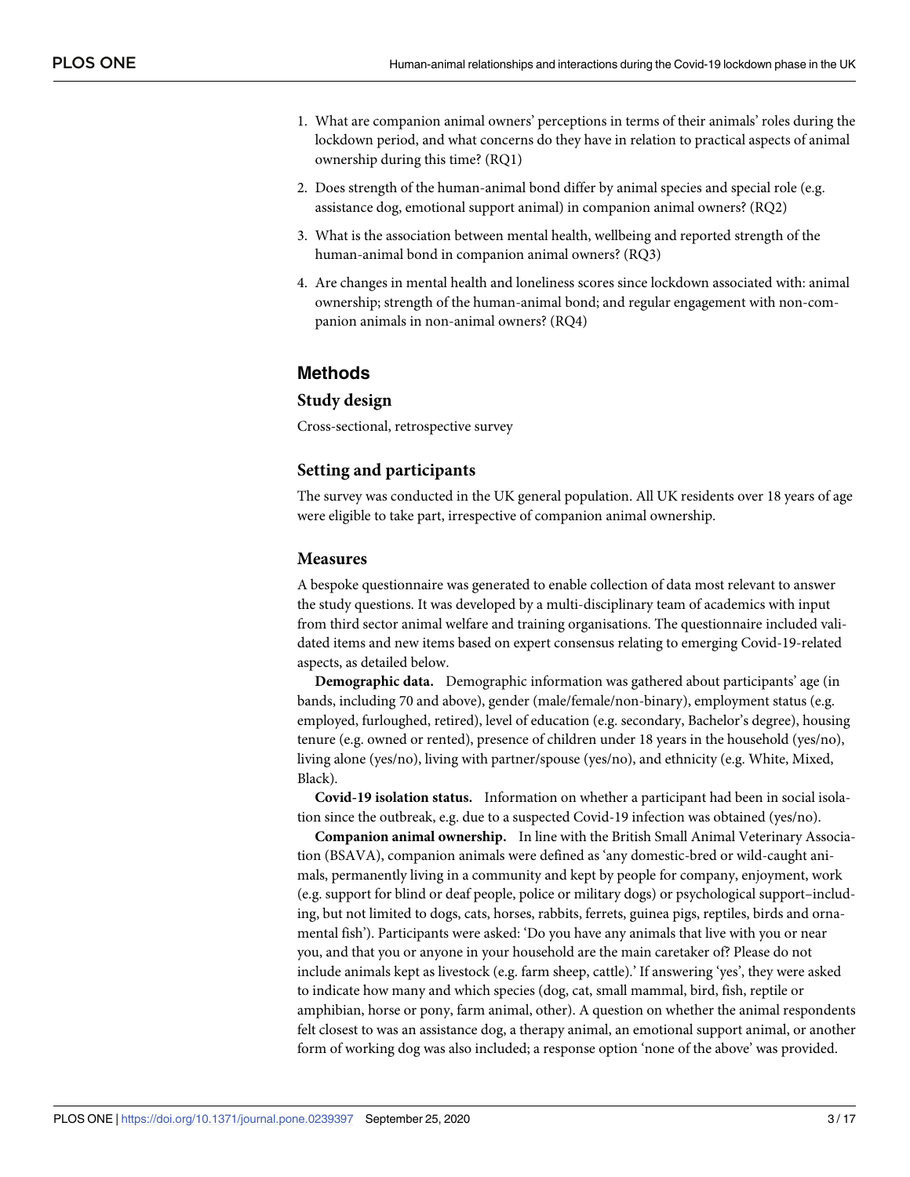- 1. What are companion animal owners' perceptions in terms of their animals' roles during the lockdown period, and what concerns do they have in relation to practical aspects of animal ownership during this time? (RQ1)
- 2. Does strength of the human-animal bond differ by animal species and special role (e.g. assistance dog, emotional support animal) in companion animal owners? (RQ2)
- 3. What is the association between mental health, wellbeing and reported strength of the human-animal bond in companion animal owners? (RQ3)
- 4. Are changes in mental health and loneliness scores since lockdown associated with: animal ownership; strength of the human-animal bond; and regular engagement with non-companion animals in non-animal owners? (RQ4)

### **Methods**

#### **Study design**

Cross-sectional, retrospective survey

#### **Setting and participants**

The survey was conducted in the UK general population. All UK residents over 18 years of age were eligible to take part, irrespective of companion animal ownership.

#### **Measures**

A bespoke questionnaire was generated to enable collection of data most relevant to answer the study questions. It was developed by a multi-disciplinary team of academics with input from third sector animal welfare and training organisations. The questionnaire included validated items and new items based on expert consensus relating to emerging Covid-19-related aspects, as detailed below.

**Demographic data.** Demographic information was gathered about participants' age (in bands, including 70 and above), gender (male/female/non-binary), employment status (e.g. employed, furloughed, retired), level of education (e.g. secondary, Bachelor's degree), housing tenure (e.g. owned or rented), presence of children under 18 years in the household (yes/no), living alone (yes/no), living with partner/spouse (yes/no), and ethnicity (e.g. White, Mixed, Black).

**Covid-19 isolation status.** Information on whether a participant had been in social isolation since the outbreak, e.g. due to a suspected Covid-19 infection was obtained (yes/no).

**Companion animal ownership.** In line with the British Small Animal Veterinary Association (BSAVA), companion animals were defined as 'any domestic-bred or wild-caught animals, permanently living in a community and kept by people for company, enjoyment, work (e.g. support for blind or deaf people, police or military dogs) or psychological support–including, but not limited to dogs, cats, horses, rabbits, ferrets, guinea pigs, reptiles, birds and ornamental fish'). Participants were asked: 'Do you have any animals that live with you or near you, and that you or anyone in your household are the main caretaker of? Please do not include animals kept as livestock (e.g. farm sheep, cattle).' If answering 'yes', they were asked to indicate how many and which species (dog, cat, small mammal, bird, fish, reptile or amphibian, horse or pony, farm animal, other). A question on whether the animal respondents felt closest to was an assistance dog, a therapy animal, an emotional support animal, or another form of working dog was also included; a response option 'none of the above' was provided.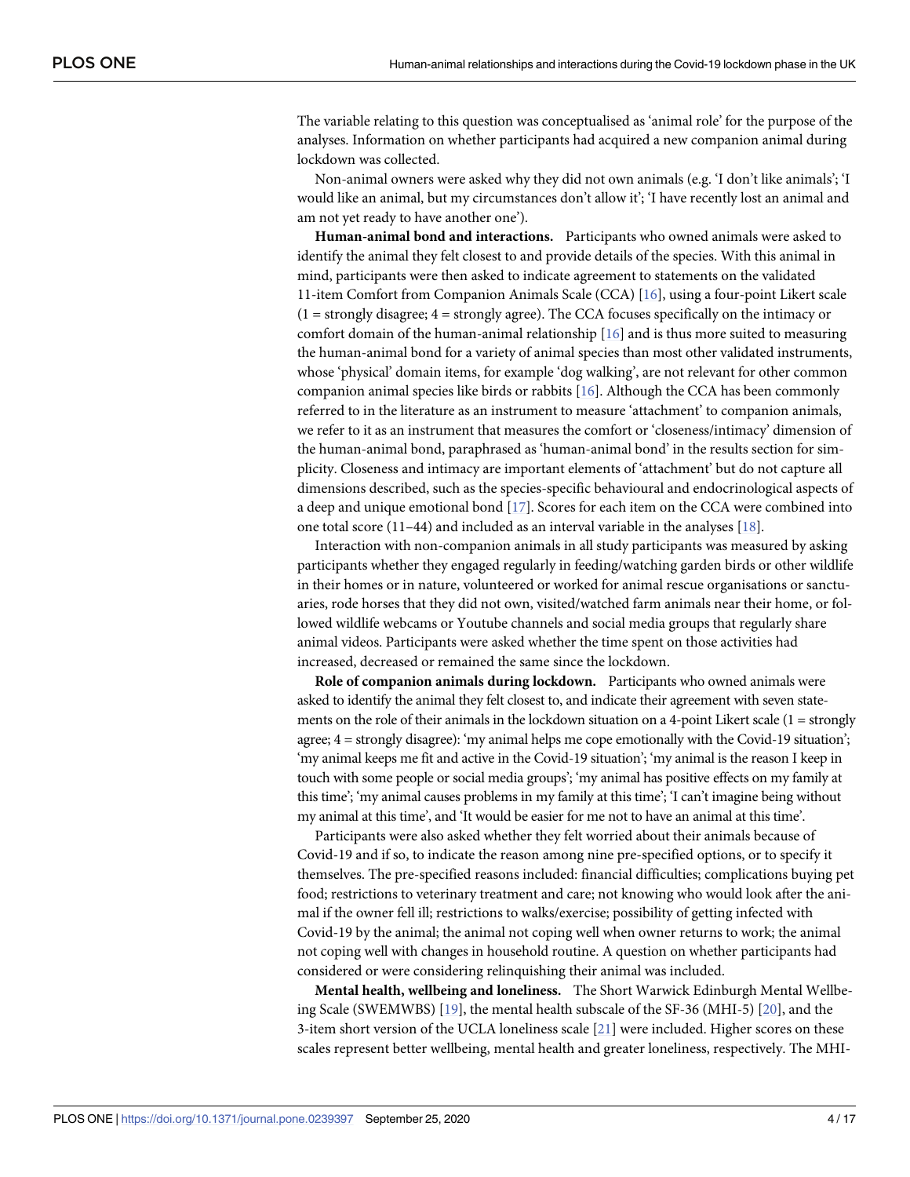<span id="page-3-0"></span>The variable relating to this question was conceptualised as 'animal role' for the purpose of the analyses. Information on whether participants had acquired a new companion animal during lockdown was collected.

Non-animal owners were asked why they did not own animals (e.g. 'I don't like animals'; 'I would like an animal, but my circumstances don't allow it'; 'I have recently lost an animal and am not yet ready to have another one').

**Human-animal bond and interactions.** Participants who owned animals were asked to identify the animal they felt closest to and provide details of the species. With this animal in mind, participants were then asked to indicate agreement to statements on the validated 11-item Comfort from Companion Animals Scale (CCA) [[16](#page-15-0)], using a four-point Likert scale  $(1 =$  strongly disagree;  $4 =$  strongly agree). The CCA focuses specifically on the intimacy or comfort domain of the human-animal relationship [[16\]](#page-15-0) and is thus more suited to measuring the human-animal bond for a variety of animal species than most other validated instruments, whose 'physical' domain items, for example 'dog walking', are not relevant for other common companion animal species like birds or rabbits  $[16]$  $[16]$  $[16]$ . Although the CCA has been commonly referred to in the literature as an instrument to measure 'attachment' to companion animals, we refer to it as an instrument that measures the comfort or 'closeness/intimacy' dimension of the human-animal bond, paraphrased as 'human-animal bond' in the results section for simplicity. Closeness and intimacy are important elements of 'attachment' but do not capture all dimensions described, such as the species-specific behavioural and endocrinological aspects of a deep and unique emotional bond [\[17\]](#page-15-0). Scores for each item on the CCA were combined into one total score (11–44) and included as an interval variable in the analyses [\[18\]](#page-15-0).

Interaction with non-companion animals in all study participants was measured by asking participants whether they engaged regularly in feeding/watching garden birds or other wildlife in their homes or in nature, volunteered or worked for animal rescue organisations or sanctuaries, rode horses that they did not own, visited/watched farm animals near their home, or followed wildlife webcams or Youtube channels and social media groups that regularly share animal videos. Participants were asked whether the time spent on those activities had increased, decreased or remained the same since the lockdown.

**Role of companion animals during lockdown.** Participants who owned animals were asked to identify the animal they felt closest to, and indicate their agreement with seven statements on the role of their animals in the lockdown situation on a 4-point Likert scale  $(1 =$  strongly agree; 4 = strongly disagree): 'my animal helps me cope emotionally with the Covid-19 situation'; 'my animal keeps me fit and active in the Covid-19 situation'; 'my animal is the reason I keep in touch with some people or social media groups'; 'my animal has positive effects on my family at this time'; 'my animal causes problems in my family at this time'; 'I can't imagine being without my animal at this time', and 'It would be easier for me not to have an animal at this time'.

Participants were also asked whether they felt worried about their animals because of Covid-19 and if so, to indicate the reason among nine pre-specified options, or to specify it themselves. The pre-specified reasons included: financial difficulties; complications buying pet food; restrictions to veterinary treatment and care; not knowing who would look after the animal if the owner fell ill; restrictions to walks/exercise; possibility of getting infected with Covid-19 by the animal; the animal not coping well when owner returns to work; the animal not coping well with changes in household routine. A question on whether participants had considered or were considering relinquishing their animal was included.

**Mental health, wellbeing and loneliness.** The Short Warwick Edinburgh Mental Wellbeing Scale (SWEMWBS) [[19](#page-15-0)], the mental health subscale of the SF-36 (MHI-5) [\[20\]](#page-15-0), and the 3-item short version of the UCLA loneliness scale [\[21\]](#page-15-0) were included. Higher scores on these scales represent better wellbeing, mental health and greater loneliness, respectively. The MHI-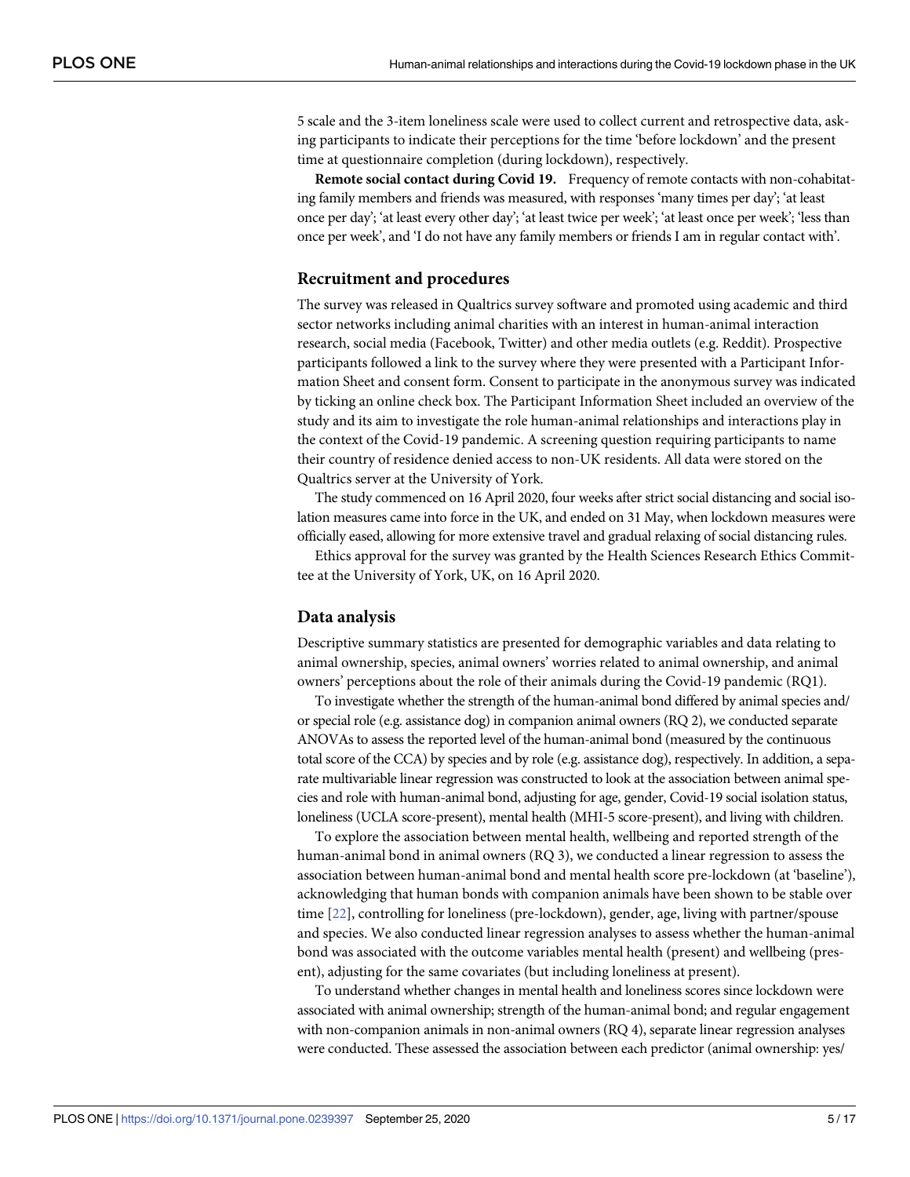<span id="page-4-0"></span>5 scale and the 3-item loneliness scale were used to collect current and retrospective data, asking participants to indicate their perceptions for the time 'before lockdown' and the present time at questionnaire completion (during lockdown), respectively.

**Remote social contact during Covid 19.** Frequency of remote contacts with non-cohabitating family members and friends was measured, with responses 'many times per day'; 'at least once per day'; 'at least every other day'; 'at least twice per week'; 'at least once per week'; 'less than once per week', and 'I do not have any family members or friends I am in regular contact with'.

#### **Recruitment and procedures**

The survey was released in Qualtrics survey software and promoted using academic and third sector networks including animal charities with an interest in human-animal interaction research, social media (Facebook, Twitter) and other media outlets (e.g. Reddit). Prospective participants followed a link to the survey where they were presented with a Participant Information Sheet and consent form. Consent to participate in the anonymous survey was indicated by ticking an online check box. The Participant Information Sheet included an overview of the study and its aim to investigate the role human-animal relationships and interactions play in the context of the Covid-19 pandemic. A screening question requiring participants to name their country of residence denied access to non-UK residents. All data were stored on the Qualtrics server at the University of York.

The study commenced on 16 April 2020, four weeks after strict social distancing and social isolation measures came into force in the UK, and ended on 31 May, when lockdown measures were officially eased, allowing for more extensive travel and gradual relaxing of social distancing rules.

Ethics approval for the survey was granted by the Health Sciences Research Ethics Committee at the University of York, UK, on 16 April 2020.

#### **Data analysis**

Descriptive summary statistics are presented for demographic variables and data relating to animal ownership, species, animal owners' worries related to animal ownership, and animal owners' perceptions about the role of their animals during the Covid-19 pandemic (RQ1).

To investigate whether the strength of the human-animal bond differed by animal species and/ or special role (e.g. assistance dog) in companion animal owners (RQ 2), we conducted separate ANOVAs to assess the reported level of the human-animal bond (measured by the continuous total score of the CCA) by species and by role (e.g. assistance dog), respectively. In addition, a separate multivariable linear regression was constructed to look at the association between animal species and role with human-animal bond, adjusting for age, gender, Covid-19 social isolation status, loneliness (UCLA score-present), mental health (MHI-5 score-present), and living with children.

To explore the association between mental health, wellbeing and reported strength of the human-animal bond in animal owners (RQ 3), we conducted a linear regression to assess the association between human-animal bond and mental health score pre-lockdown (at 'baseline'), acknowledging that human bonds with companion animals have been shown to be stable over time [[22](#page-15-0)], controlling for loneliness (pre-lockdown), gender, age, living with partner/spouse and species. We also conducted linear regression analyses to assess whether the human-animal bond was associated with the outcome variables mental health (present) and wellbeing (present), adjusting for the same covariates (but including loneliness at present).

To understand whether changes in mental health and loneliness scores since lockdown were associated with animal ownership; strength of the human-animal bond; and regular engagement with non-companion animals in non-animal owners (RQ 4), separate linear regression analyses were conducted. These assessed the association between each predictor (animal ownership: yes/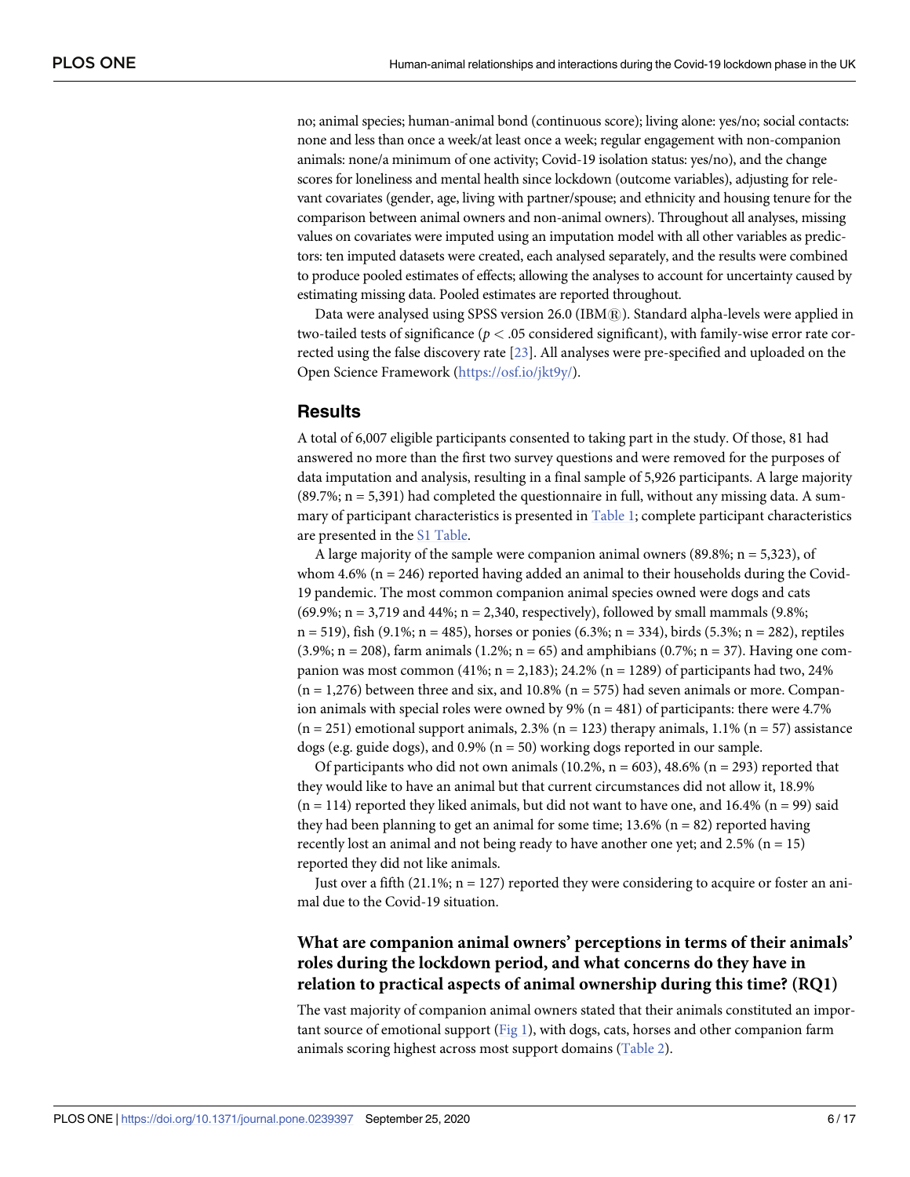<span id="page-5-0"></span>no; animal species; human-animal bond (continuous score); living alone: yes/no; social contacts: none and less than once a week/at least once a week; regular engagement with non-companion animals: none/a minimum of one activity; Covid-19 isolation status: yes/no), and the change scores for loneliness and mental health since lockdown (outcome variables), adjusting for relevant covariates (gender, age, living with partner/spouse; and ethnicity and housing tenure for the comparison between animal owners and non-animal owners). Throughout all analyses, missing values on covariates were imputed using an imputation model with all other variables as predictors: ten imputed datasets were created, each analysed separately, and the results were combined to produce pooled estimates of effects; allowing the analyses to account for uncertainty caused by estimating missing data. Pooled estimates are reported throughout.

Data were analysed using SPSS version 26.0 (IBM $\widehat{R}$ ). Standard alpha-levels were applied in two-tailed tests of significance ( $p < .05$  considered significant), with family-wise error rate corrected using the false discovery rate [\[23\]](#page-15-0). All analyses were pre-specified and uploaded on the Open Science Framework (<https://osf.io/jkt9y/>).

#### **Results**

A total of 6,007 eligible participants consented to taking part in the study. Of those, 81 had answered no more than the first two survey questions and were removed for the purposes of data imputation and analysis, resulting in a final sample of 5,926 participants. A large majority  $(89.7\%; n = 5,391)$  had completed the questionnaire in full, without any missing data. A summary of participant characteristics is presented in [Table](#page-6-0) 1; complete participant characteristics are presented in the S1 [Table.](#page-13-0)

A large majority of the sample were companion animal owners  $(89.8\%; n = 5,323)$ , of whom 4.6% ( $n = 246$ ) reported having added an animal to their households during the Covid-19 pandemic. The most common companion animal species owned were dogs and cats  $(69.9\%; n = 3,719 \text{ and } 44\%; n = 2,340,$  respectively), followed by small mammals  $(9.8\%;$  $n = 519$ , fish (9.1%;  $n = 485$ ), horses or ponies (6.3%;  $n = 334$ ), birds (5.3%;  $n = 282$ ), reptiles  $(3.9\%; n = 208)$ , farm animals  $(1.2\%; n = 65)$  and amphibians  $(0.7\%; n = 37)$ . Having one companion was most common (41%;  $n = 2,183$ ); 24.2% ( $n = 1289$ ) of participants had two, 24%  $(n = 1,276)$  between three and six, and 10.8%  $(n = 575)$  had seven animals or more. Companion animals with special roles were owned by 9% ( $n = 481$ ) of participants: there were 4.7%  $(n = 251)$  emotional support animals, 2.3%  $(n = 123)$  therapy animals, 1.1%  $(n = 57)$  assistance dogs (e.g. guide dogs), and  $0.9\%$  (n = 50) working dogs reported in our sample.

Of participants who did not own animals  $(10.2\%, n = 603)$ , 48.6%  $(n = 293)$  reported that they would like to have an animal but that current circumstances did not allow it, 18.9%  $(n = 114)$  reported they liked animals, but did not want to have one, and 16.4%  $(n = 99)$  said they had been planning to get an animal for some time;  $13.6\%$  (n = 82) reported having recently lost an animal and not being ready to have another one yet; and  $2.5\%$  (n = 15) reported they did not like animals.

Just over a fifth  $(21.1\%; n = 127)$  reported they were considering to acquire or foster an animal due to the Covid-19 situation.

### **What are companion animal owners' perceptions in terms of their animals' roles during the lockdown period, and what concerns do they have in relation to practical aspects of animal ownership during this time? (RQ1)**

The vast majority of companion animal owners stated that their animals constituted an important source of emotional support ([Fig](#page-7-0) 1), with dogs, cats, horses and other companion farm animals scoring highest across most support domains [\(Table](#page-7-0) 2).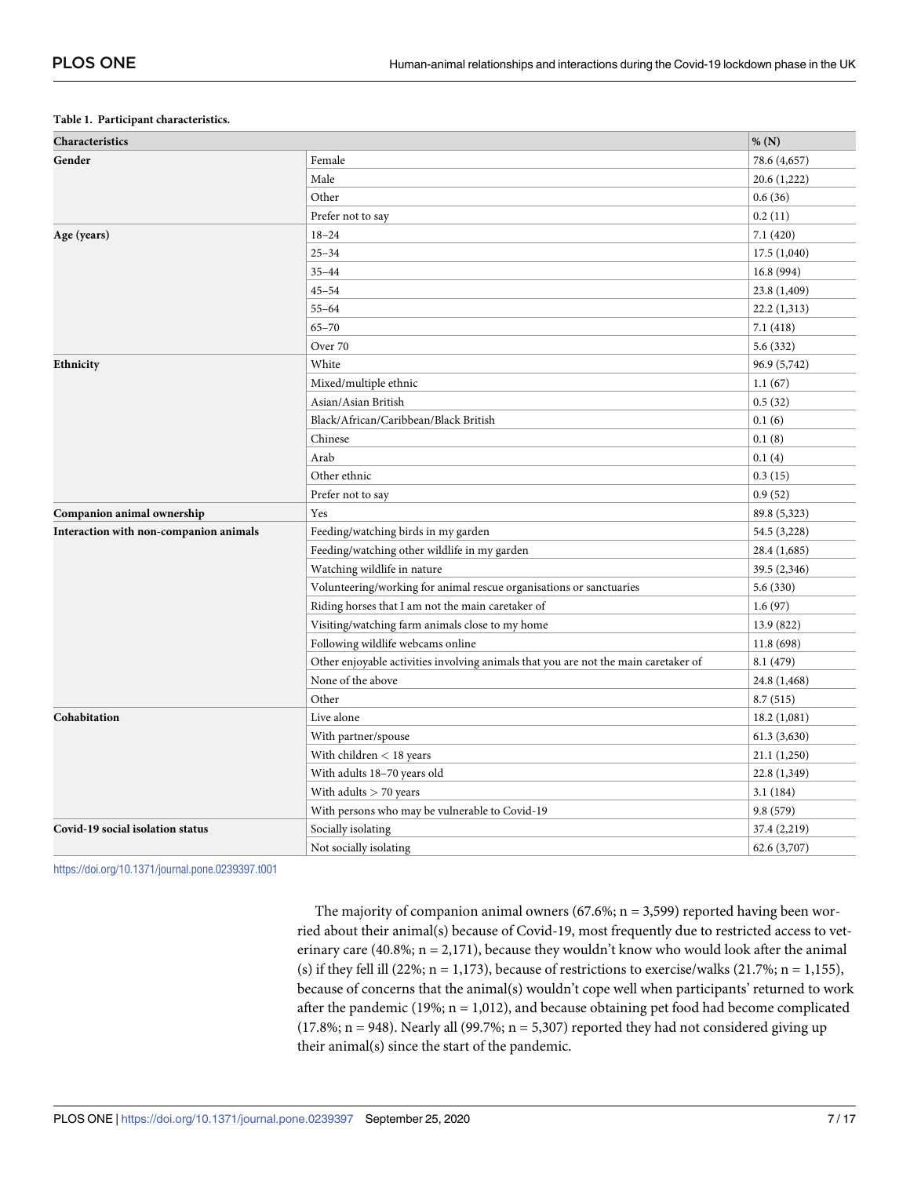#### <span id="page-6-0"></span>**[Table](#page-5-0) 1. Participant characteristics.**

| Characteristics                        |                                                                                     | % (N)        |
|----------------------------------------|-------------------------------------------------------------------------------------|--------------|
| Gender                                 | Female                                                                              | 78.6 (4,657) |
|                                        | Male                                                                                | 20.6 (1,222) |
|                                        | Other                                                                               | 0.6(36)      |
|                                        | Prefer not to say                                                                   | 0.2(11)      |
| Age (years)                            | $18 - 24$                                                                           | 7.1 (420)    |
|                                        | $25 - 34$                                                                           | 17.5(1,040)  |
|                                        | $35 - 44$                                                                           | 16.8(994)    |
|                                        | $45 - 54$                                                                           | 23.8 (1,409) |
|                                        | $55 - 64$                                                                           | 22.2 (1,313) |
|                                        | $65 - 70$                                                                           | 7.1(418)     |
|                                        | Over 70                                                                             | 5.6 (332)    |
| Ethnicity                              | White                                                                               | 96.9 (5,742) |
|                                        | Mixed/multiple ethnic                                                               | 1.1(67)      |
|                                        | Asian/Asian British                                                                 | 0.5(32)      |
|                                        | Black/African/Caribbean/Black British                                               | 0.1(6)       |
|                                        | Chinese                                                                             | 0.1(8)       |
|                                        | Arab                                                                                | 0.1(4)       |
|                                        | Other ethnic                                                                        | 0.3(15)      |
|                                        | Prefer not to say                                                                   | 0.9(52)      |
| Companion animal ownership             | Yes                                                                                 | 89.8 (5,323) |
| Interaction with non-companion animals | Feeding/watching birds in my garden                                                 | 54.5 (3,228) |
|                                        | Feeding/watching other wildlife in my garden                                        | 28.4 (1,685) |
|                                        | Watching wildlife in nature                                                         | 39.5 (2,346) |
|                                        | Volunteering/working for animal rescue organisations or sanctuaries                 | 5.6(330)     |
|                                        | Riding horses that I am not the main caretaker of                                   | 1.6(97)      |
|                                        | Visiting/watching farm animals close to my home                                     | 13.9 (822)   |
|                                        | Following wildlife webcams online                                                   | 11.8 (698)   |
|                                        | Other enjoyable activities involving animals that you are not the main caretaker of | 8.1 (479)    |
|                                        | None of the above                                                                   | 24.8 (1,468) |
|                                        | Other                                                                               | 8.7(515)     |
| Cohabitation                           | Live alone                                                                          | 18.2(1,081)  |
|                                        | With partner/spouse                                                                 | 61.3 (3,630) |
|                                        | With children $<$ 18 years                                                          | 21.1 (1,250) |
|                                        | With adults 18-70 years old                                                         | 22.8 (1,349) |
|                                        | With adults $>$ 70 years                                                            | 3.1(184)     |
|                                        | With persons who may be vulnerable to Covid-19                                      | 9.8 (579)    |
| Covid-19 social isolation status       | Socially isolating                                                                  | 37.4 (2,219) |
|                                        | Not socially isolating                                                              | 62.6 (3,707) |

<https://doi.org/10.1371/journal.pone.0239397.t001>

The majority of companion animal owners  $(67.6\%; n = 3,599)$  reported having been worried about their animal(s) because of Covid-19, most frequently due to restricted access to veterinary care (40.8%;  $n = 2,171$ ), because they wouldn't know who would look after the animal (s) if they fell ill  $(22\%; n = 1,173)$ , because of restrictions to exercise/walks  $(21.7\%; n = 1,155)$ , because of concerns that the animal(s) wouldn't cope well when participants' returned to work after the pandemic (19%;  $n = 1,012$ ), and because obtaining pet food had become complicated (17.8%;  $n = 948$ ). Nearly all (99.7%;  $n = 5,307$ ) reported they had not considered giving up their animal(s) since the start of the pandemic.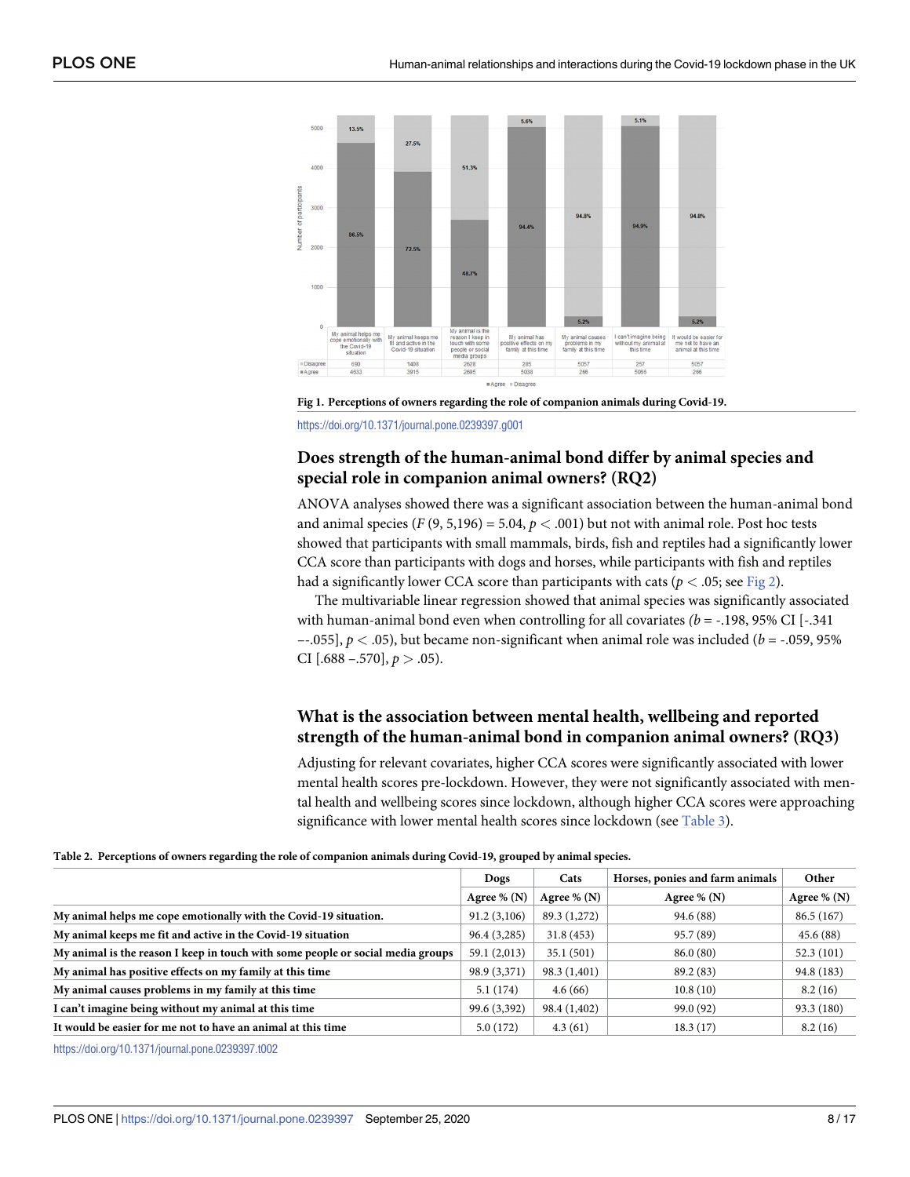<span id="page-7-0"></span>

**[Fig](#page-5-0) 1. Perceptions of owners regarding the role of companion animals during Covid-19.**

<https://doi.org/10.1371/journal.pone.0239397.g001>

## **Does strength of the human-animal bond differ by animal species and special role in companion animal owners? (RQ2)**

ANOVA analyses showed there was a significant association between the human-animal bond and animal species  $(F(9, 5, 196) = 5.04, p < .001)$  but not with animal role. Post hoc tests showed that participants with small mammals, birds, fish and reptiles had a significantly lower CCA score than participants with dogs and horses, while participants with fish and reptiles had a significantly lower CCA score than participants with cats ( $p < .05$ ; see [Fig](#page-8-0) 2).

The multivariable linear regression showed that animal species was significantly associated with human-animal bond even when controlling for all covariates ( $b = -198,95\%$  CI [-.341  $-0.055$ ],  $p < .05$ ), but became non-significant when animal role was included ( $b = .059$ , 95% CI  $[.688 - .570]$ ,  $p > .05$ ).

#### **What is the association between mental health, wellbeing and reported strength of the human-animal bond in companion animal owners? (RQ3)**

Adjusting for relevant covariates, higher CCA scores were significantly associated with lower mental health scores pre-lockdown. However, they were not significantly associated with mental health and wellbeing scores since lockdown, although higher CCA scores were approaching significance with lower mental health scores since lockdown (see [Table](#page-8-0) 3).

|                                                                                 | Dogs          | Cats           | Horses, ponies and farm animals | Other          |
|---------------------------------------------------------------------------------|---------------|----------------|---------------------------------|----------------|
|                                                                                 | Agree % $(N)$ | Agree $\%$ (N) | Agree $\%$ (N)                  | Agree $\%$ (N) |
| My animal helps me cope emotionally with the Covid-19 situation.                | 91.2(3,106)   | 89.3 (1,272)   | 94.6 (88)                       | 86.5(167)      |
| My animal keeps me fit and active in the Covid-19 situation                     | 96.4 (3,285)  | 31.8(453)      | 95.7 (89)                       | 45.6(88)       |
| My animal is the reason I keep in touch with some people or social media groups | 59.1 (2,013)  | 35.1(501)      | 86.0(80)                        | 52.3(101)      |
| My animal has positive effects on my family at this time                        | 98.9 (3,371)  | 98.3 (1,401)   | 89.2 (83)                       | 94.8 (183)     |
| My animal causes problems in my family at this time                             | 5.1(174)      | 4.6(66)        | 10.8(10)                        | 8.2(16)        |
| I can't imagine being without my animal at this time                            | 99.6 (3,392)  | 98.4 (1,402)   | 99.0(92)                        | 93.3 (180)     |
| It would be easier for me not to have an animal at this time                    | 5.0(172)      | 4.3(61)        | 18.3(17)                        | 8.2(16)        |

[Table](#page-5-0) 2. Perceptions of owners regarding the role of companion animals during Covid-19, grouped by animal species.

<https://doi.org/10.1371/journal.pone.0239397.t002>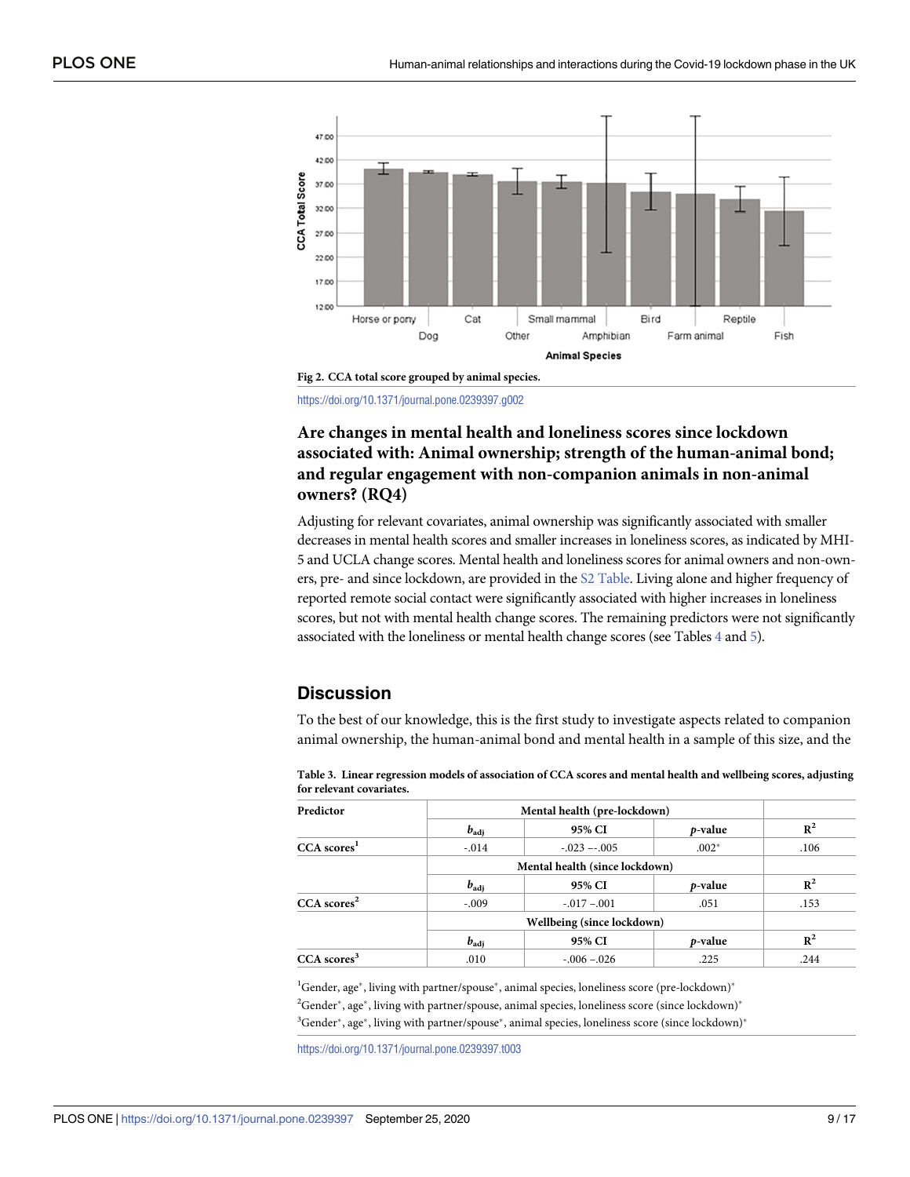<span id="page-8-0"></span>



<https://doi.org/10.1371/journal.pone.0239397.g002>

## **Are changes in mental health and loneliness scores since lockdown associated with: Animal ownership; strength of the human-animal bond; and regular engagement with non-companion animals in non-animal owners? (RQ4)**

Adjusting for relevant covariates, animal ownership was significantly associated with smaller decreases in mental health scores and smaller increases in loneliness scores, as indicated by MHI-5 and UCLA change scores. Mental health and loneliness scores for animal owners and non-owners, pre- and since lockdown, are provided in the S2 [Table.](#page-13-0) Living alone and higher frequency of reported remote social contact were significantly associated with higher increases in loneliness scores, but not with mental health change scores. The remaining predictors were not significantly associated with the loneliness or mental health change scores (see Tables [4](#page-9-0) and [5](#page-9-0)).

#### **Discussion**

To the best of our knowledge, this is the first study to investigate aspects related to companion animal ownership, the human-animal bond and mental health in a sample of this size, and the

| Predictor                 | Mental health (pre-lockdown)   |                |            |                |
|---------------------------|--------------------------------|----------------|------------|----------------|
|                           | $b_{\rm adi}$                  | 95% CI         | $p$ -value | $\mathbb{R}^2$ |
| $CCA$ scores <sup>1</sup> | $-.014$                        | $-.023 - .005$ | $.002*$    | .106           |
|                           | Mental health (since lockdown) |                |            |                |
|                           | $b_{\rm adi}$                  | 95% CI         | $p$ -value | $\mathbb{R}^2$ |
| $CCA$ scores <sup>2</sup> | $-.009$                        | $-.017-.001$   | .051       | .153           |
|                           |                                |                |            |                |
|                           | $b_{\rm adi}$                  | 95% CI         | $p$ -value | $\mathbb{R}^2$ |
| $CCA$ scores <sup>3</sup> | .010                           | $-.006 - .026$ | .225       | .244           |

[Table](#page-7-0) 3. Linear regression models of association of CCA scores and mental health and wellbeing scores, adjusting **for relevant covariates.**

<sup>1</sup>Gender, age<sup>\*</sup>, living with partner/spouse<sup>\*</sup>, animal species, loneliness score (pre-lockdown)<sup>\*</sup> <sup>2</sup>Gender<sup>\*</sup>, age<sup>\*</sup>, living with partner/spouse, animal species, loneliness score (since lockdown)<sup>\*</sup>  ${}^{3}$ Gender\*, age\*, living with partner/spouse\*, animal species, loneliness score (since lockdown)\*

<https://doi.org/10.1371/journal.pone.0239397.t003>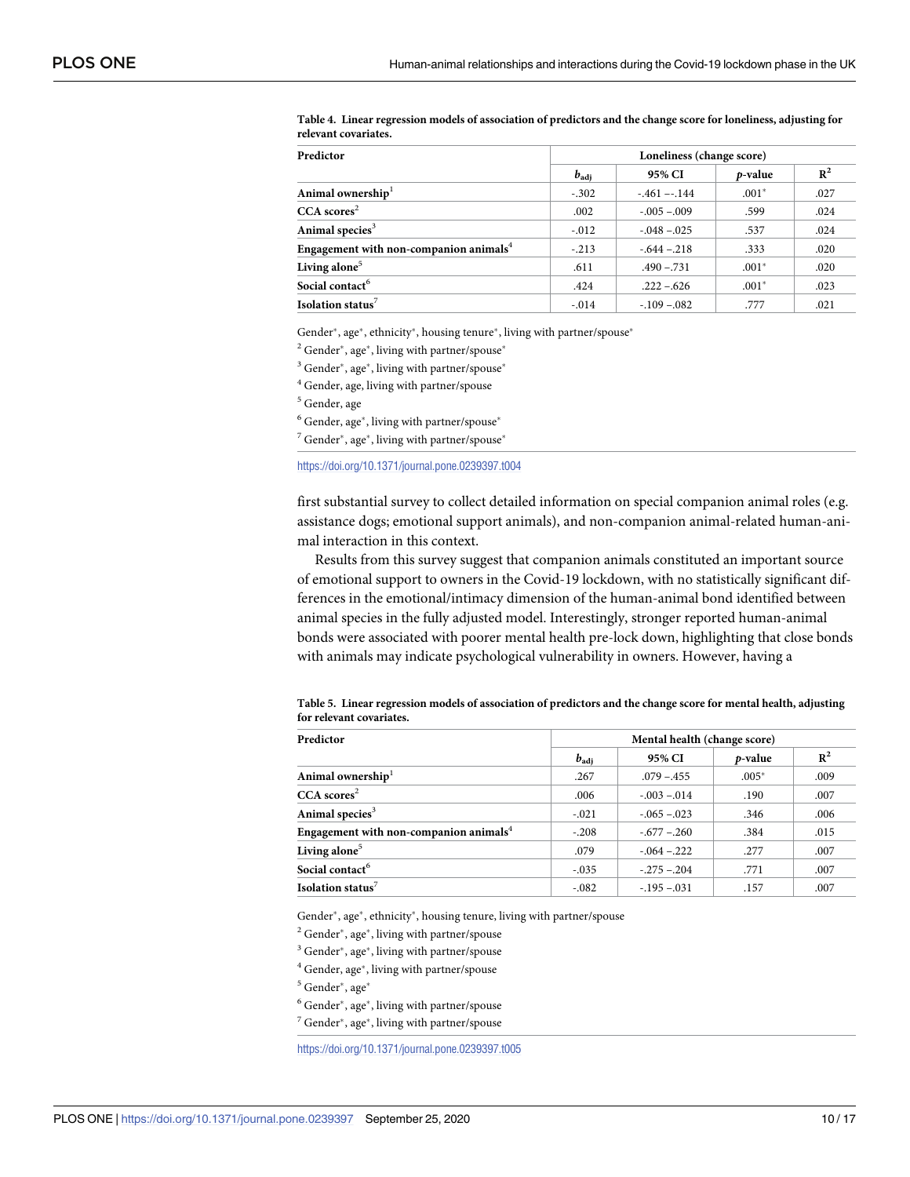| Predictor                                          | Loneliness (change score) |                |         |                |
|----------------------------------------------------|---------------------------|----------------|---------|----------------|
|                                                    | $b_{\rm adi}$             | 95% CI         | p-value | $\mathbb{R}^2$ |
| Animal ownership                                   | $-.302$                   | $-461 - 144$   | $.001*$ | .027           |
| $CCA$ scores <sup>2</sup>                          | .002                      | $-.005 - .009$ | .599    | .024           |
| Animal species <sup>3</sup>                        | $-.012$                   | $-.048 - .025$ | .537    | .024           |
| Engagement with non-companion animals <sup>4</sup> | $-.213$                   | $-.644-.218$   | .333    | .020           |
| Living alone <sup>5</sup>                          | .611                      | $.490 - .731$  | $.001*$ | .020           |
| Social contact <sup>6</sup>                        | .424                      | $.222 - .626$  | $.001*$ | .023           |
| Isolation status <sup>7</sup>                      | $-.014$                   | $-.109 - .082$ | .777    | .021           |

<span id="page-9-0"></span>[Table](#page-8-0) 4. Linear regression models of association of predictors and the change score for loneliness, adjusting for **relevant covariates.**

Gender\*, age\*, ethnicity\*, housing tenure\*, living with partner/spouse\*

 $2$  Gender $^*$ , age $^*$ , living with partner/spouse $^*$ 

 $^3$  Gender $^\ast$ , age $^\ast$ , living with partner/spouse $^\ast$ 

<sup>4</sup> Gender, age, living with partner/spouse

<sup>5</sup> Gender, age

 $^6$  Gender, age $^\ast$ , living with partner/spouse $^\ast$ 

 $7$  Gender\*, age\*, living with partner/spouse\*

<https://doi.org/10.1371/journal.pone.0239397.t004>

first substantial survey to collect detailed information on special companion animal roles (e.g. assistance dogs; emotional support animals), and non-companion animal-related human-animal interaction in this context.

Results from this survey suggest that companion animals constituted an important source of emotional support to owners in the Covid-19 lockdown, with no statistically significant differences in the emotional/intimacy dimension of the human-animal bond identified between animal species in the fully adjusted model. Interestingly, stronger reported human-animal bonds were associated with poorer mental health pre-lock down, highlighting that close bonds with animals may indicate psychological vulnerability in owners. However, having a

| Table 5. Linear regression models of association of predictors and the change score for mental health, adjusting |  |  |
|------------------------------------------------------------------------------------------------------------------|--|--|
| for relevant covariates.                                                                                         |  |  |

| Predictor                                          | Mental health (change score) |                |         |                |  |
|----------------------------------------------------|------------------------------|----------------|---------|----------------|--|
|                                                    | $b_{\rm adi}$                | 95% CI         | p-value | $\mathbb{R}^2$ |  |
| Animal ownership                                   | .267                         | $.079 - .455$  | $.005*$ | .009           |  |
| $CCA$ scores <sup>2</sup>                          | .006                         | $-.003 - .014$ | .190    | .007           |  |
| Animal species <sup>3</sup>                        | $-.021$                      | $-.065-.023$   | .346    | .006           |  |
| Engagement with non-companion animals <sup>4</sup> | $-.208$                      | $-.677-.260$   | .384    | .015           |  |
| Living alone <sup>5</sup>                          | .079                         | $-.064 - .222$ | .277    | .007           |  |
| Social contact <sup>6</sup>                        | $-.035$                      | $-.275-.204$   | .771    | .007           |  |
| Isolation status $\overline{ }$                    | $-.082$                      | $-195 - 031$   | .157    | .007           |  |

Gender\*, age\*, ethnicity\*, housing tenure, living with partner/spouse

 $2$  Gender\*, age\*, living with partner/spouse

 $3$  Gender\*, age\*, living with partner/spouse

 $4$  Gender, age<sup>\*</sup>, living with partner/spouse

 $5$  Gender\*, age\*

 $6$  Gender $^*$ , age $^*$ , living with partner/spouse

 $7$  Gender\*, age\*, living with partner/spouse

<https://doi.org/10.1371/journal.pone.0239397.t005>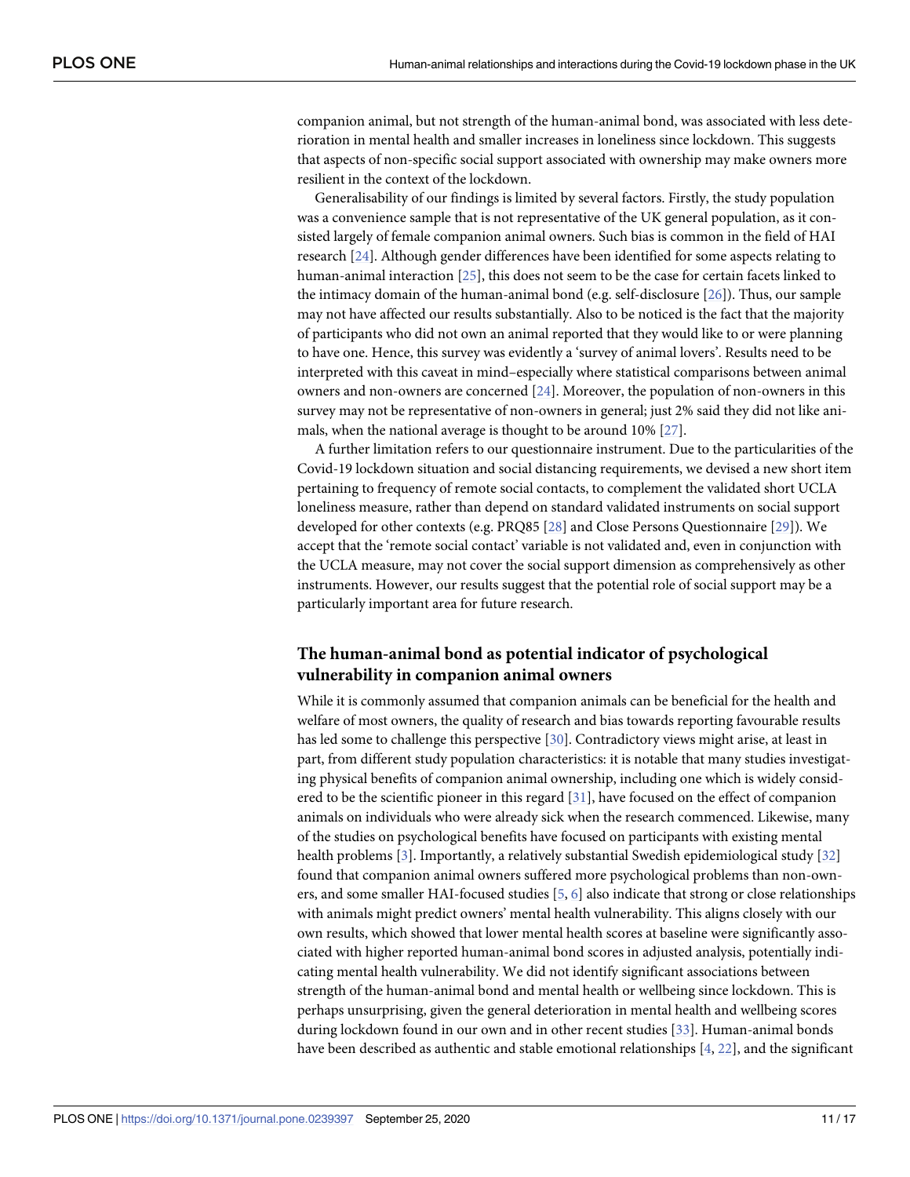<span id="page-10-0"></span>companion animal, but not strength of the human-animal bond, was associated with less deterioration in mental health and smaller increases in loneliness since lockdown. This suggests that aspects of non-specific social support associated with ownership may make owners more resilient in the context of the lockdown.

Generalisability of our findings is limited by several factors. Firstly, the study population was a convenience sample that is not representative of the UK general population, as it consisted largely of female companion animal owners. Such bias is common in the field of HAI research [[24](#page-15-0)]. Although gender differences have been identified for some aspects relating to human-animal interaction [\[25\]](#page-15-0), this does not seem to be the case for certain facets linked to the intimacy domain of the human-animal bond (e.g. self-disclosure [\[26\]](#page-15-0)). Thus, our sample may not have affected our results substantially. Also to be noticed is the fact that the majority of participants who did not own an animal reported that they would like to or were planning to have one. Hence, this survey was evidently a 'survey of animal lovers'. Results need to be interpreted with this caveat in mind–especially where statistical comparisons between animal owners and non-owners are concerned [\[24\]](#page-15-0). Moreover, the population of non-owners in this survey may not be representative of non-owners in general; just 2% said they did not like animals, when the national average is thought to be around 10% [\[27\]](#page-15-0).

A further limitation refers to our questionnaire instrument. Due to the particularities of the Covid-19 lockdown situation and social distancing requirements, we devised a new short item pertaining to frequency of remote social contacts, to complement the validated short UCLA loneliness measure, rather than depend on standard validated instruments on social support developed for other contexts (e.g. PRQ85 [[28](#page-15-0)] and Close Persons Questionnaire [[29](#page-15-0)]). We accept that the 'remote social contact' variable is not validated and, even in conjunction with the UCLA measure, may not cover the social support dimension as comprehensively as other instruments. However, our results suggest that the potential role of social support may be a particularly important area for future research.

## **The human-animal bond as potential indicator of psychological vulnerability in companion animal owners**

While it is commonly assumed that companion animals can be beneficial for the health and welfare of most owners, the quality of research and bias towards reporting favourable results has led some to challenge this perspective [[30](#page-15-0)]. Contradictory views might arise, at least in part, from different study population characteristics: it is notable that many studies investigating physical benefits of companion animal ownership, including one which is widely considered to be the scientific pioneer in this regard [\[31\]](#page-15-0), have focused on the effect of companion animals on individuals who were already sick when the research commenced. Likewise, many of the studies on psychological benefits have focused on participants with existing mental health problems [[3\]](#page-14-0). Importantly, a relatively substantial Swedish epidemiological study [\[32\]](#page-15-0) found that companion animal owners suffered more psychological problems than non-owners, and some smaller HAI-focused studies [\[5,](#page-14-0) [6](#page-14-0)] also indicate that strong or close relationships with animals might predict owners' mental health vulnerability. This aligns closely with our own results, which showed that lower mental health scores at baseline were significantly associated with higher reported human-animal bond scores in adjusted analysis, potentially indicating mental health vulnerability. We did not identify significant associations between strength of the human-animal bond and mental health or wellbeing since lockdown. This is perhaps unsurprising, given the general deterioration in mental health and wellbeing scores during lockdown found in our own and in other recent studies [[33](#page-15-0)]. Human-animal bonds have been described as authentic and stable emotional relationships [\[4,](#page-14-0) [22\]](#page-15-0), and the significant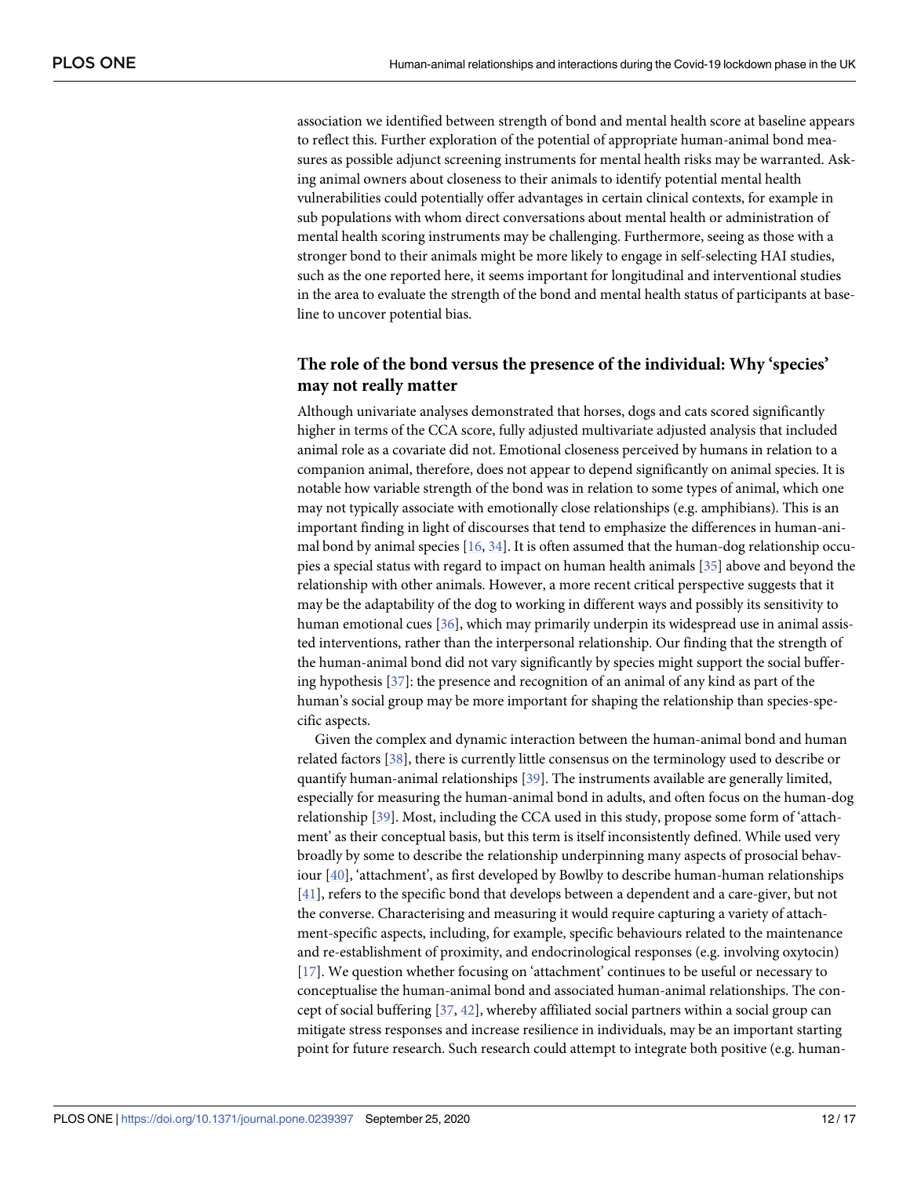<span id="page-11-0"></span>association we identified between strength of bond and mental health score at baseline appears to reflect this. Further exploration of the potential of appropriate human-animal bond measures as possible adjunct screening instruments for mental health risks may be warranted. Asking animal owners about closeness to their animals to identify potential mental health vulnerabilities could potentially offer advantages in certain clinical contexts, for example in sub populations with whom direct conversations about mental health or administration of mental health scoring instruments may be challenging. Furthermore, seeing as those with a stronger bond to their animals might be more likely to engage in self-selecting HAI studies, such as the one reported here, it seems important for longitudinal and interventional studies in the area to evaluate the strength of the bond and mental health status of participants at baseline to uncover potential bias.

#### **The role of the bond versus the presence of the individual: Why 'species' may not really matter**

Although univariate analyses demonstrated that horses, dogs and cats scored significantly higher in terms of the CCA score, fully adjusted multivariate adjusted analysis that included animal role as a covariate did not. Emotional closeness perceived by humans in relation to a companion animal, therefore, does not appear to depend significantly on animal species. It is notable how variable strength of the bond was in relation to some types of animal, which one may not typically associate with emotionally close relationships (e.g. amphibians). This is an important finding in light of discourses that tend to emphasize the differences in human-ani-mal bond by animal species [[16](#page-15-0), [34](#page-15-0)]. It is often assumed that the human-dog relationship occupies a special status with regard to impact on human health animals [\[35\]](#page-15-0) above and beyond the relationship with other animals. However, a more recent critical perspective suggests that it may be the adaptability of the dog to working in different ways and possibly its sensitivity to human emotional cues [\[36\]](#page-15-0), which may primarily underpin its widespread use in animal assisted interventions, rather than the interpersonal relationship. Our finding that the strength of the human-animal bond did not vary significantly by species might support the social buffering hypothesis [\[37\]](#page-16-0): the presence and recognition of an animal of any kind as part of the human's social group may be more important for shaping the relationship than species-specific aspects.

Given the complex and dynamic interaction between the human-animal bond and human related factors [[38](#page-16-0)], there is currently little consensus on the terminology used to describe or quantify human-animal relationships [\[39\]](#page-16-0). The instruments available are generally limited, especially for measuring the human-animal bond in adults, and often focus on the human-dog relationship [\[39\]](#page-16-0). Most, including the CCA used in this study, propose some form of 'attachment' as their conceptual basis, but this term is itself inconsistently defined. While used very broadly by some to describe the relationship underpinning many aspects of prosocial behaviour [\[40\]](#page-16-0), 'attachment', as first developed by Bowlby to describe human-human relationships [\[41\]](#page-16-0), refers to the specific bond that develops between a dependent and a care-giver, but not the converse. Characterising and measuring it would require capturing a variety of attachment-specific aspects, including, for example, specific behaviours related to the maintenance and re-establishment of proximity, and endocrinological responses (e.g. involving oxytocin) [\[17\]](#page-15-0). We question whether focusing on 'attachment' continues to be useful or necessary to conceptualise the human-animal bond and associated human-animal relationships. The concept of social buffering [\[37,](#page-16-0) [42\]](#page-16-0), whereby affiliated social partners within a social group can mitigate stress responses and increase resilience in individuals, may be an important starting point for future research. Such research could attempt to integrate both positive (e.g. human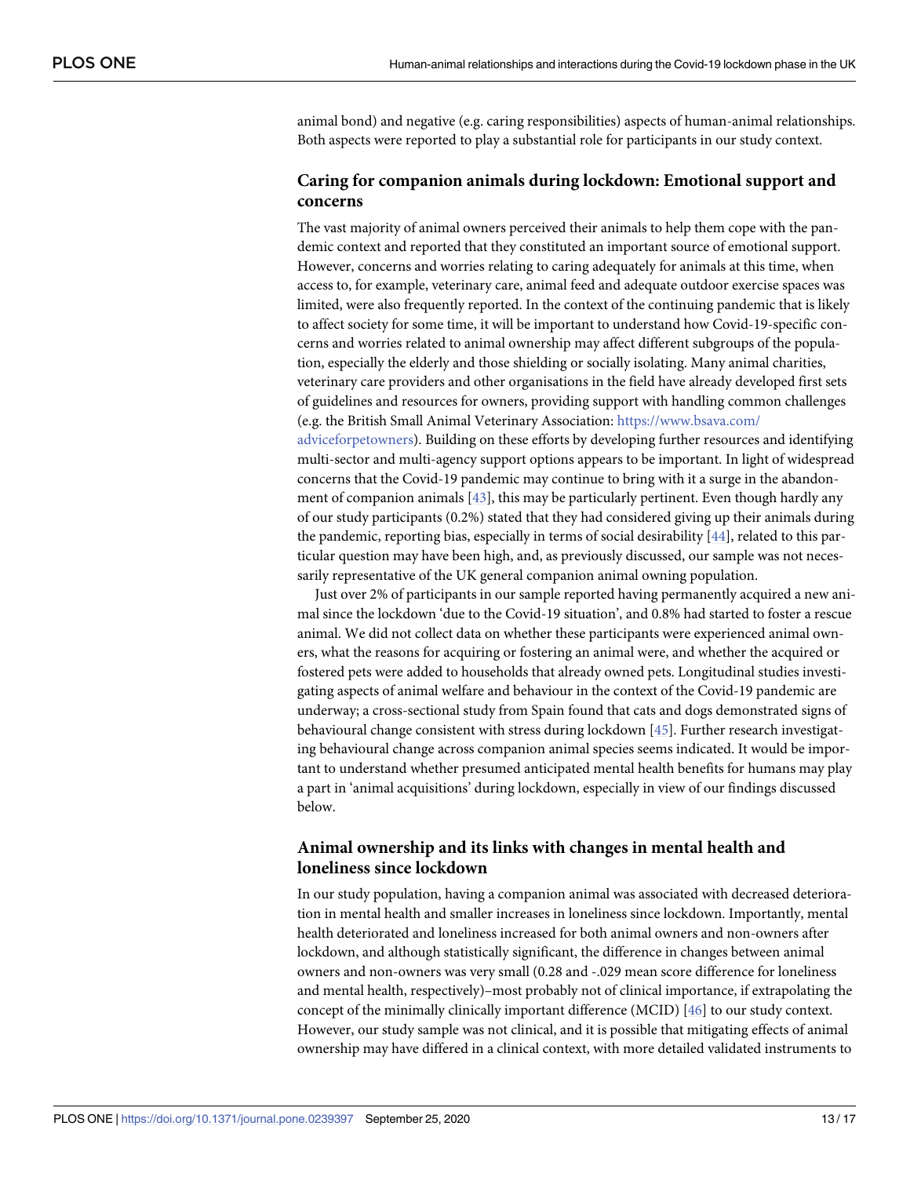<span id="page-12-0"></span>animal bond) and negative (e.g. caring responsibilities) aspects of human-animal relationships. Both aspects were reported to play a substantial role for participants in our study context.

## **Caring for companion animals during lockdown: Emotional support and concerns**

The vast majority of animal owners perceived their animals to help them cope with the pandemic context and reported that they constituted an important source of emotional support. However, concerns and worries relating to caring adequately for animals at this time, when access to, for example, veterinary care, animal feed and adequate outdoor exercise spaces was limited, were also frequently reported. In the context of the continuing pandemic that is likely to affect society for some time, it will be important to understand how Covid-19-specific concerns and worries related to animal ownership may affect different subgroups of the population, especially the elderly and those shielding or socially isolating. Many animal charities, veterinary care providers and other organisations in the field have already developed first sets of guidelines and resources for owners, providing support with handling common challenges (e.g. the British Small Animal Veterinary Association: [https://www.bsava.com/](https://www.bsava.com/adviceforpetowners) [adviceforpetowners](https://www.bsava.com/adviceforpetowners)). Building on these efforts by developing further resources and identifying multi-sector and multi-agency support options appears to be important. In light of widespread concerns that the Covid-19 pandemic may continue to bring with it a surge in the abandonment of companion animals [[43](#page-16-0)], this may be particularly pertinent. Even though hardly any of our study participants (0.2%) stated that they had considered giving up their animals during the pandemic, reporting bias, especially in terms of social desirability [[44](#page-16-0)], related to this particular question may have been high, and, as previously discussed, our sample was not necessarily representative of the UK general companion animal owning population.

Just over 2% of participants in our sample reported having permanently acquired a new animal since the lockdown 'due to the Covid-19 situation', and 0.8% had started to foster a rescue animal. We did not collect data on whether these participants were experienced animal owners, what the reasons for acquiring or fostering an animal were, and whether the acquired or fostered pets were added to households that already owned pets. Longitudinal studies investigating aspects of animal welfare and behaviour in the context of the Covid-19 pandemic are underway; a cross-sectional study from Spain found that cats and dogs demonstrated signs of behavioural change consistent with stress during lockdown [\[45\]](#page-16-0). Further research investigating behavioural change across companion animal species seems indicated. It would be important to understand whether presumed anticipated mental health benefits for humans may play a part in 'animal acquisitions' during lockdown, especially in view of our findings discussed below.

### **Animal ownership and its links with changes in mental health and loneliness since lockdown**

In our study population, having a companion animal was associated with decreased deterioration in mental health and smaller increases in loneliness since lockdown. Importantly, mental health deteriorated and loneliness increased for both animal owners and non-owners after lockdown, and although statistically significant, the difference in changes between animal owners and non-owners was very small (0.28 and -.029 mean score difference for loneliness and mental health, respectively)–most probably not of clinical importance, if extrapolating the concept of the minimally clinically important difference (MCID) [\[46\]](#page-16-0) to our study context. However, our study sample was not clinical, and it is possible that mitigating effects of animal ownership may have differed in a clinical context, with more detailed validated instruments to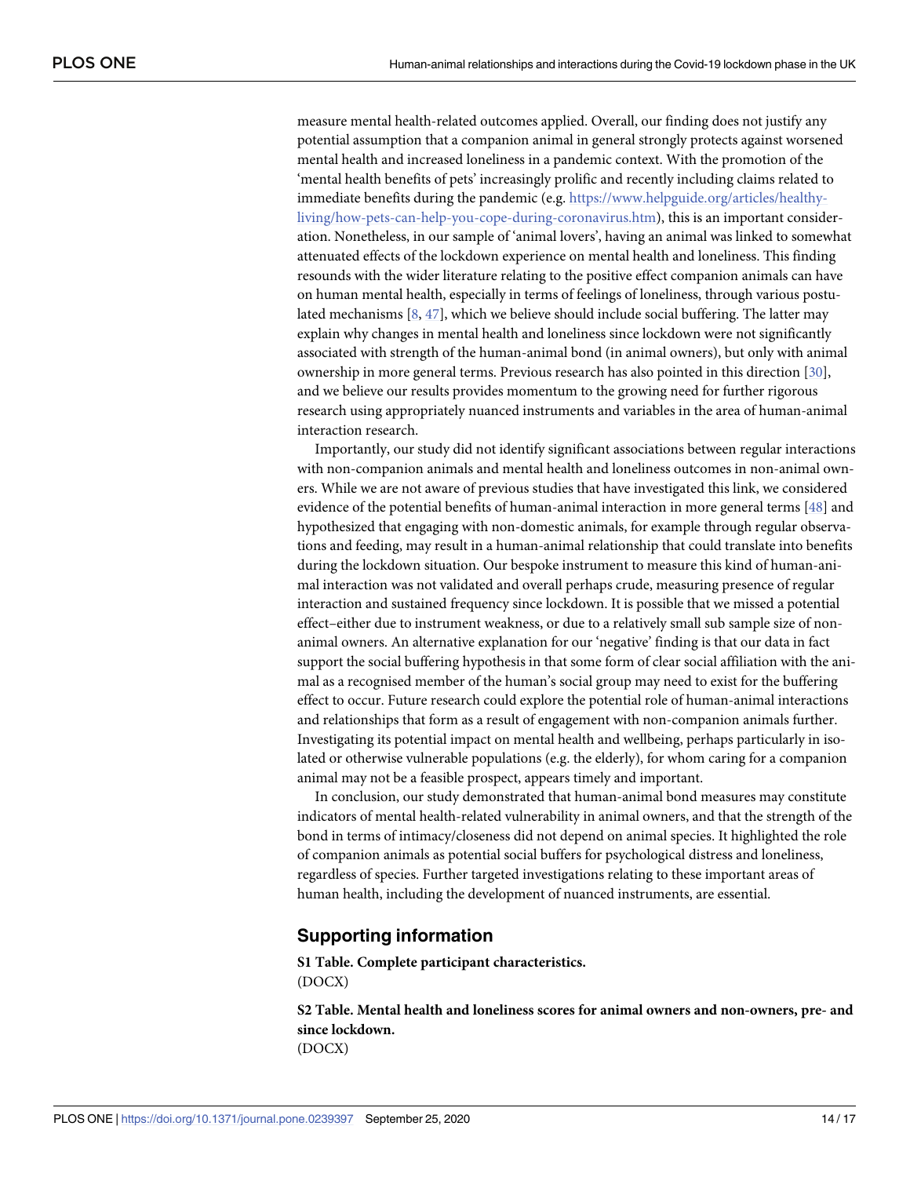<span id="page-13-0"></span>measure mental health-related outcomes applied. Overall, our finding does not justify any potential assumption that a companion animal in general strongly protects against worsened mental health and increased loneliness in a pandemic context. With the promotion of the 'mental health benefits of pets' increasingly prolific and recently including claims related to immediate benefits during the pandemic (e.g. [https://www.helpguide.org/articles/healthy](https://www.helpguide.org/articles/healthy-living/how-pets-can-help-you-cope-during-coronavirus.htm)[living/how-pets-can-help-you-cope-during-coronavirus.htm\)](https://www.helpguide.org/articles/healthy-living/how-pets-can-help-you-cope-during-coronavirus.htm), this is an important consideration. Nonetheless, in our sample of 'animal lovers', having an animal was linked to somewhat attenuated effects of the lockdown experience on mental health and loneliness. This finding resounds with the wider literature relating to the positive effect companion animals can have on human mental health, especially in terms of feelings of loneliness, through various postulated mechanisms [[8,](#page-14-0) [47\]](#page-16-0), which we believe should include social buffering. The latter may explain why changes in mental health and loneliness since lockdown were not significantly associated with strength of the human-animal bond (in animal owners), but only with animal ownership in more general terms. Previous research has also pointed in this direction [\[30\]](#page-15-0), and we believe our results provides momentum to the growing need for further rigorous research using appropriately nuanced instruments and variables in the area of human-animal interaction research.

Importantly, our study did not identify significant associations between regular interactions with non-companion animals and mental health and loneliness outcomes in non-animal owners. While we are not aware of previous studies that have investigated this link, we considered evidence of the potential benefits of human-animal interaction in more general terms [\[48\]](#page-16-0) and hypothesized that engaging with non-domestic animals, for example through regular observations and feeding, may result in a human-animal relationship that could translate into benefits during the lockdown situation. Our bespoke instrument to measure this kind of human-animal interaction was not validated and overall perhaps crude, measuring presence of regular interaction and sustained frequency since lockdown. It is possible that we missed a potential effect–either due to instrument weakness, or due to a relatively small sub sample size of nonanimal owners. An alternative explanation for our 'negative' finding is that our data in fact support the social buffering hypothesis in that some form of clear social affiliation with the animal as a recognised member of the human's social group may need to exist for the buffering effect to occur. Future research could explore the potential role of human-animal interactions and relationships that form as a result of engagement with non-companion animals further. Investigating its potential impact on mental health and wellbeing, perhaps particularly in isolated or otherwise vulnerable populations (e.g. the elderly), for whom caring for a companion animal may not be a feasible prospect, appears timely and important.

In conclusion, our study demonstrated that human-animal bond measures may constitute indicators of mental health-related vulnerability in animal owners, and that the strength of the bond in terms of intimacy/closeness did not depend on animal species. It highlighted the role of companion animals as potential social buffers for psychological distress and loneliness, regardless of species. Further targeted investigations relating to these important areas of human health, including the development of nuanced instruments, are essential.

#### **Supporting information**

**S1 [Table.](http://www.plosone.org/article/fetchSingleRepresentation.action?uri=info:doi/10.1371/journal.pone.0239397.s001) Complete participant characteristics.** (DOCX)

**S2 [Table.](http://www.plosone.org/article/fetchSingleRepresentation.action?uri=info:doi/10.1371/journal.pone.0239397.s002) Mental health and loneliness scores for animal owners and non-owners, pre- and since lockdown.**

(DOCX)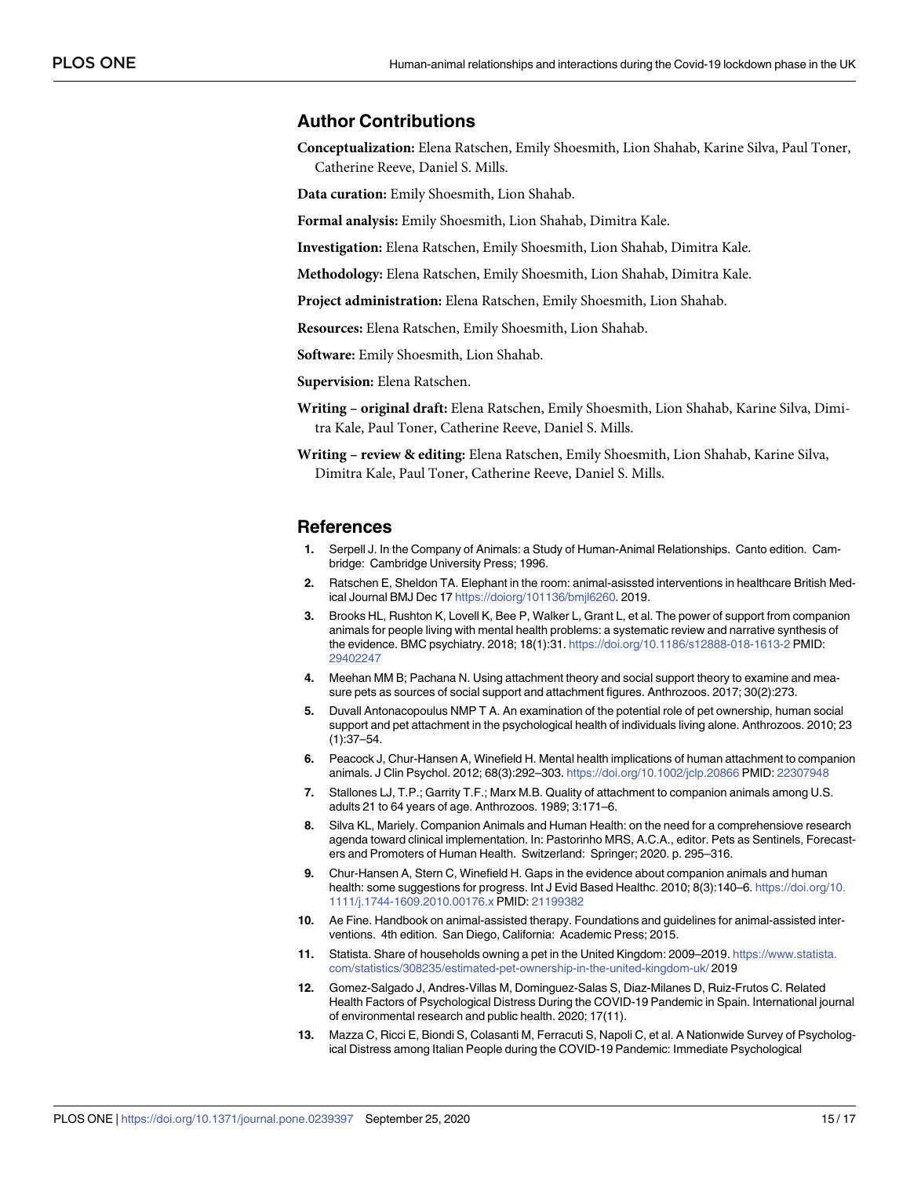#### <span id="page-14-0"></span>**Author Contributions**

**Conceptualization:** Elena Ratschen, Emily Shoesmith, Lion Shahab, Karine Silva, Paul Toner, Catherine Reeve, Daniel S. Mills.

**Data curation:** Emily Shoesmith, Lion Shahab.

**Formal analysis:** Emily Shoesmith, Lion Shahab, Dimitra Kale.

**Investigation:** Elena Ratschen, Emily Shoesmith, Lion Shahab, Dimitra Kale.

**Methodology:** Elena Ratschen, Emily Shoesmith, Lion Shahab, Dimitra Kale.

**Project administration:** Elena Ratschen, Emily Shoesmith, Lion Shahab.

**Resources:** Elena Ratschen, Emily Shoesmith, Lion Shahab.

**Software:** Emily Shoesmith, Lion Shahab.

**Supervision:** Elena Ratschen.

- **Writing – original draft:** Elena Ratschen, Emily Shoesmith, Lion Shahab, Karine Silva, Dimitra Kale, Paul Toner, Catherine Reeve, Daniel S. Mills.
- **Writing – review & editing:** Elena Ratschen, Emily Shoesmith, Lion Shahab, Karine Silva, Dimitra Kale, Paul Toner, Catherine Reeve, Daniel S. Mills.

#### **References**

- **[1](#page-1-0).** Serpell J. In the Company of Animals: a Study of Human-Animal Relationships. Canto edition. Cambridge: Cambridge University Press; 1996.
- **[2](#page-1-0).** Ratschen E, Sheldon TA. Elephant in the room: animal-asissted interventions in healthcare British Medical Journal BMJ Dec 17 <https://doiorg/101136/bmjl6260>. 2019.
- **[3](#page-1-0).** Brooks HL, Rushton K, Lovell K, Bee P, Walker L, Grant L, et al. The power of support from companion animals for people living with mental health problems: a systematic review and narrative synthesis of the evidence. BMC psychiatry. 2018; 18(1):31. <https://doi.org/10.1186/s12888-018-1613-2> PMID: [29402247](http://www.ncbi.nlm.nih.gov/pubmed/29402247)
- **[4](#page-10-0).** Meehan MM B; Pachana N. Using attachment theory and social support theory to examine and measure pets as sources of social support and attachment figures. Anthrozoos. 2017; 30(2):273.
- **[5](#page-1-0).** Duvall Antonacopoulus NMP T A. An examination of the potential role of pet ownership, human social support and pet attachment in the psychological health of individuals living alone. Anthrozoos. 2010; 23  $(1):37-54.$
- **[6](#page-1-0).** Peacock J, Chur-Hansen A, Winefield H. Mental health implications of human attachment to companion animals. J Clin Psychol. 2012; 68(3):292–303. <https://doi.org/10.1002/jclp.20866> PMID: [22307948](http://www.ncbi.nlm.nih.gov/pubmed/22307948)
- **[7](#page-1-0).** Stallones LJ, T.P.; Garrity T.F.; Marx M.B. Quality of attachment to companion animals among U.S. adults 21 to 64 years of age. Anthrozoos. 1989; 3:171–6.
- **[8](#page-1-0).** Silva KL, Mariely. Companion Animals and Human Health: on the need for a comprehensiove research agenda toward clinical implementation. In: Pastorinho MRS, A.C.A., editor. Pets as Sentinels, Forecasters and Promoters of Human Health. Switzerland: Springer; 2020. p. 295–316.
- **[9](#page-1-0).** Chur-Hansen A, Stern C, Winefield H. Gaps in the evidence about companion animals and human health: some suggestions for progress. Int J Evid Based Healthc. 2010; 8(3):140–6. [https://doi.org/10.](https://doi.org/10.1111/j.1744-1609.2010.00176.x) [1111/j.1744-1609.2010.00176.x](https://doi.org/10.1111/j.1744-1609.2010.00176.x) PMID: [21199382](http://www.ncbi.nlm.nih.gov/pubmed/21199382)
- **[10](#page-1-0).** Ae Fine. Handbook on animal-assisted therapy. Foundations and guidelines for animal-assisted interventions. 4th edition. San Diego, California: Academic Press; 2015.
- **[11](#page-1-0).** Statista. Share of households owning a pet in the United Kingdom: 2009–2019. [https://www.statista.](https://www.statista.com/statistics/308235/estimated-pet-ownership-in-the-united-kingdom-uk/) [com/statistics/308235/estimated-pet-ownership-in-the-united-kingdom-uk/](https://www.statista.com/statistics/308235/estimated-pet-ownership-in-the-united-kingdom-uk/) 2019
- **[12](#page-1-0).** Gomez-Salgado J, Andres-Villas M, Dominguez-Salas S, Diaz-Milanes D, Ruiz-Frutos C. Related Health Factors of Psychological Distress During the COVID-19 Pandemic in Spain. International journal of environmental research and public health. 2020; 17(11).
- **13.** Mazza C, Ricci E, Biondi S, Colasanti M, Ferracuti S, Napoli C, et al. A Nationwide Survey of Psychological Distress among Italian People during the COVID-19 Pandemic: Immediate Psychological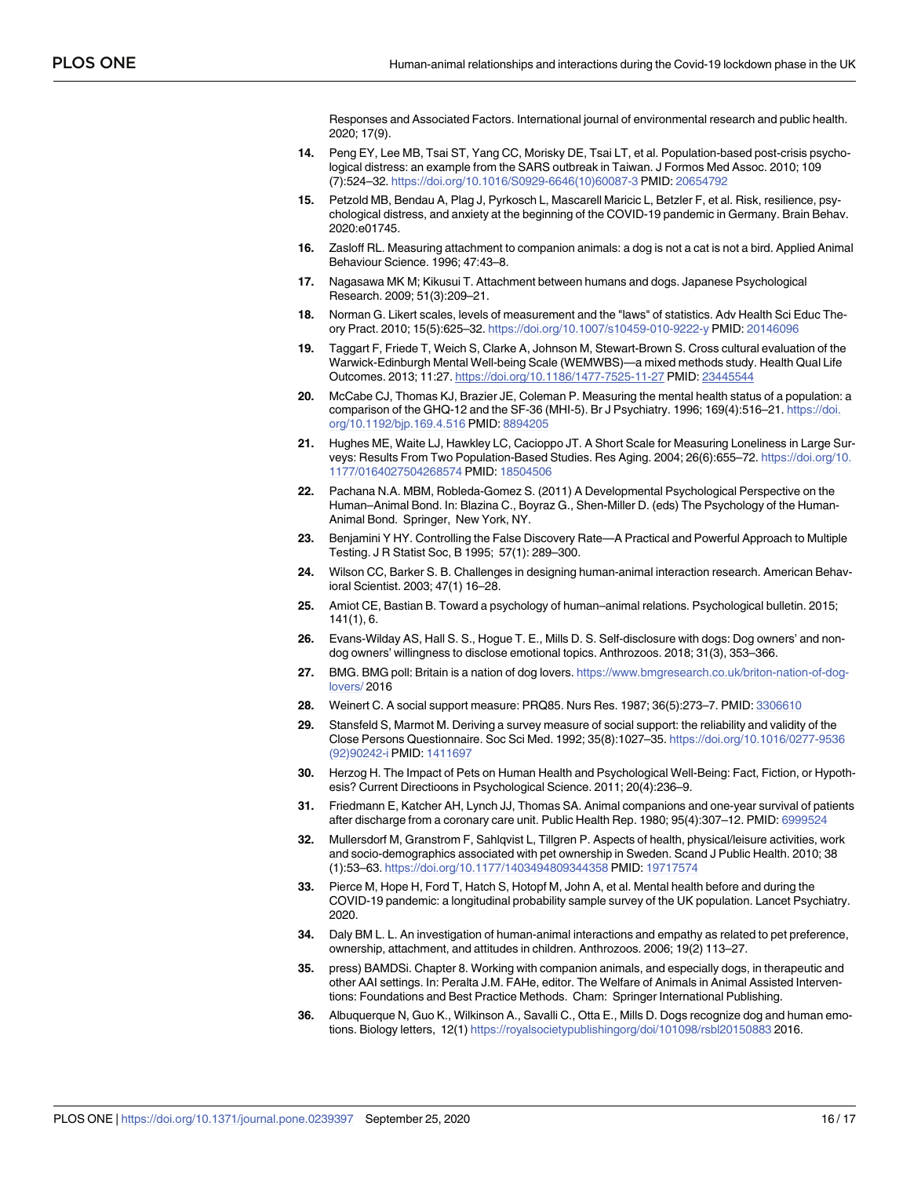Responses and Associated Factors. International journal of environmental research and public health. 2020; 17(9).

- <span id="page-15-0"></span>**14.** Peng EY, Lee MB, Tsai ST, Yang CC, Morisky DE, Tsai LT, et al. Population-based post-crisis psychological distress: an example from the SARS outbreak in Taiwan. J Formos Med Assoc. 2010; 109 (7):524–32. [https://doi.org/10.1016/S0929-6646\(10\)60087-3](https://doi.org/10.1016/S0929-6646%2810%2960087-3) PMID: [20654792](http://www.ncbi.nlm.nih.gov/pubmed/20654792)
- **[15](#page-1-0).** Petzold MB, Bendau A, Plag J, Pyrkosch L, Mascarell Maricic L, Betzler F, et al. Risk, resilience, psychological distress, and anxiety at the beginning of the COVID-19 pandemic in Germany. Brain Behav. 2020:e01745.
- **[16](#page-3-0).** Zasloff RL. Measuring attachment to companion animals: a dog is not a cat is not a bird. Applied Animal Behaviour Science. 1996; 47:43–8.
- **[17](#page-3-0).** Nagasawa MK M; Kikusui T. Attachment between humans and dogs. Japanese Psychological Research. 2009; 51(3):209–21.
- **[18](#page-3-0).** Norman G. Likert scales, levels of measurement and the "laws" of statistics. Adv Health Sci Educ Theory Pract. 2010; 15(5):625–32. <https://doi.org/10.1007/s10459-010-9222-y> PMID: [20146096](http://www.ncbi.nlm.nih.gov/pubmed/20146096)
- **[19](#page-3-0).** Taggart F, Friede T, Weich S, Clarke A, Johnson M, Stewart-Brown S. Cross cultural evaluation of the Warwick-Edinburgh Mental Well-being Scale (WEMWBS)—a mixed methods study. Health Qual Life Outcomes. 2013; 11:27. <https://doi.org/10.1186/1477-7525-11-27> PMID: [23445544](http://www.ncbi.nlm.nih.gov/pubmed/23445544)
- **[20](#page-3-0).** McCabe CJ, Thomas KJ, Brazier JE, Coleman P. Measuring the mental health status of a population: a comparison of the GHQ-12 and the SF-36 (MHI-5). Br J Psychiatry. 1996; 169(4):516–21. [https://doi.](https://doi.org/10.1192/bjp.169.4.516) [org/10.1192/bjp.169.4.516](https://doi.org/10.1192/bjp.169.4.516) PMID: [8894205](http://www.ncbi.nlm.nih.gov/pubmed/8894205)
- **[21](#page-3-0).** Hughes ME, Waite LJ, Hawkley LC, Cacioppo JT. A Short Scale for Measuring Loneliness in Large Surveys: Results From Two Population-Based Studies. Res Aging. 2004; 26(6):655–72. [https://doi.org/10.](https://doi.org/10.1177/0164027504268574) [1177/0164027504268574](https://doi.org/10.1177/0164027504268574) PMID: [18504506](http://www.ncbi.nlm.nih.gov/pubmed/18504506)
- **[22](#page-4-0).** Pachana N.A. MBM, Robleda-Gomez S. (2011) A Developmental Psychological Perspective on the Human–Animal Bond. In: Blazina C., Boyraz G., Shen-Miller D. (eds) The Psychology of the Human-Animal Bond. Springer, New York, NY.
- **[23](#page-5-0).** Benjamini Y HY. Controlling the False Discovery Rate—A Practical and Powerful Approach to Multiple Testing. J R Statist Soc, B 1995; 57(1): 289–300.
- **[24](#page-10-0).** Wilson CC, Barker S. B. Challenges in designing human-animal interaction research. American Behavioral Scientist. 2003; 47(1) 16–28.
- **[25](#page-10-0).** Amiot CE, Bastian B. Toward a psychology of human–animal relations. Psychological bulletin. 2015; 141(1), 6.
- **[26](#page-10-0).** Evans-Wilday AS, Hall S. S., Hogue T. E., Mills D. S. Self-disclosure with dogs: Dog owners' and nondog owners' willingness to disclose emotional topics. Anthrozoos. 2018; 31(3), 353–366.
- **[27](#page-10-0).** BMG. BMG poll: Britain is a nation of dog lovers. [https://www.bmgresearch.co.uk/briton-nation-of-dog](https://www.bmgresearch.co.uk/briton-nation-of-dog-lovers/)[lovers/](https://www.bmgresearch.co.uk/briton-nation-of-dog-lovers/) 2016
- **[28](#page-10-0).** Weinert C. A social support measure: PRQ85. Nurs Res. 1987; 36(5):273–7. PMID: [3306610](http://www.ncbi.nlm.nih.gov/pubmed/3306610)
- **[29](#page-10-0).** Stansfeld S, Marmot M. Deriving a survey measure of social support: the reliability and validity of the Close Persons Questionnaire. Soc Sci Med. 1992; 35(8):1027–35. [https://doi.org/10.1016/0277-9536](https://doi.org/10.1016/0277-9536%2892%2990242-i) [\(92\)90242-i](https://doi.org/10.1016/0277-9536%2892%2990242-i) PMID: [1411697](http://www.ncbi.nlm.nih.gov/pubmed/1411697)
- **[30](#page-10-0).** Herzog H. The Impact of Pets on Human Health and Psychological Well-Being: Fact, Fiction, or Hypothesis? Current Directioons in Psychological Science. 2011; 20(4):236–9.
- **[31](#page-10-0).** Friedmann E, Katcher AH, Lynch JJ, Thomas SA. Animal companions and one-year survival of patients after discharge from a coronary care unit. Public Health Rep. 1980; 95(4):307–12. PMID: [6999524](http://www.ncbi.nlm.nih.gov/pubmed/6999524)
- **[32](#page-10-0).** Mullersdorf M, Granstrom F, Sahlqvist L, Tillgren P. Aspects of health, physical/leisure activities, work and socio-demographics associated with pet ownership in Sweden. Scand J Public Health. 2010; 38 (1):53–63. <https://doi.org/10.1177/1403494809344358> PMID: [19717574](http://www.ncbi.nlm.nih.gov/pubmed/19717574)
- **[33](#page-10-0).** Pierce M, Hope H, Ford T, Hatch S, Hotopf M, John A, et al. Mental health before and during the COVID-19 pandemic: a longitudinal probability sample survey of the UK population. Lancet Psychiatry. 2020.
- **[34](#page-11-0).** Daly BM L. L. An investigation of human-animal interactions and empathy as related to pet preference, ownership, attachment, and attitudes in children. Anthrozoos. 2006; 19(2) 113–27.
- **[35](#page-11-0).** press) BAMDSi. Chapter 8. Working with companion animals, and especially dogs, in therapeutic and other AAI settings. In: Peralta J.M. FAHe, editor. The Welfare of Animals in Animal Assisted Interventions: Foundations and Best Practice Methods. Cham: Springer International Publishing.
- **[36](#page-11-0).** Albuquerque N, Guo K., Wilkinson A., Savalli C., Otta E., Mills D. Dogs recognize dog and human emotions. Biology letters, 12(1) <https://royalsocietypublishingorg/doi/101098/rsbl20150883> 2016.